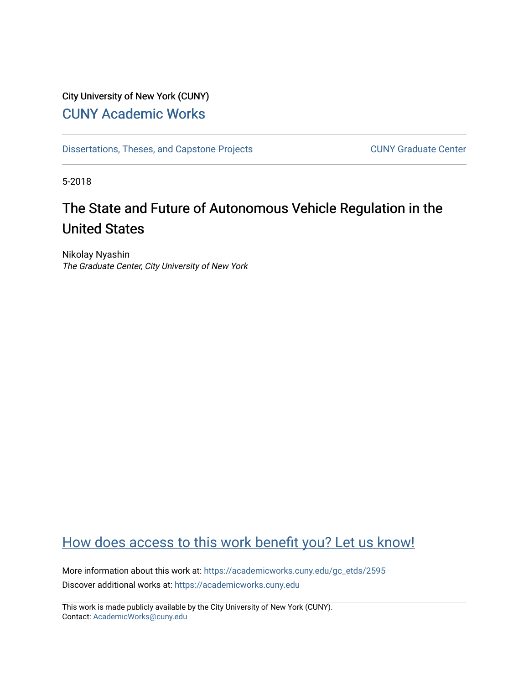## City University of New York (CUNY) [CUNY Academic Works](https://academicworks.cuny.edu/)

[Dissertations, Theses, and Capstone Projects](https://academicworks.cuny.edu/gc_etds) CUNY Graduate Center

5-2018

# The State and Future of Autonomous Vehicle Regulation in the United States

Nikolay Nyashin The Graduate Center, City University of New York

## [How does access to this work benefit you? Let us know!](http://ols.cuny.edu/academicworks/?ref=https://academicworks.cuny.edu/gc_etds/2595)

More information about this work at: [https://academicworks.cuny.edu/gc\\_etds/2595](https://academicworks.cuny.edu/gc_etds/2595) Discover additional works at: [https://academicworks.cuny.edu](https://academicworks.cuny.edu/?)

This work is made publicly available by the City University of New York (CUNY). Contact: [AcademicWorks@cuny.edu](mailto:AcademicWorks@cuny.edu)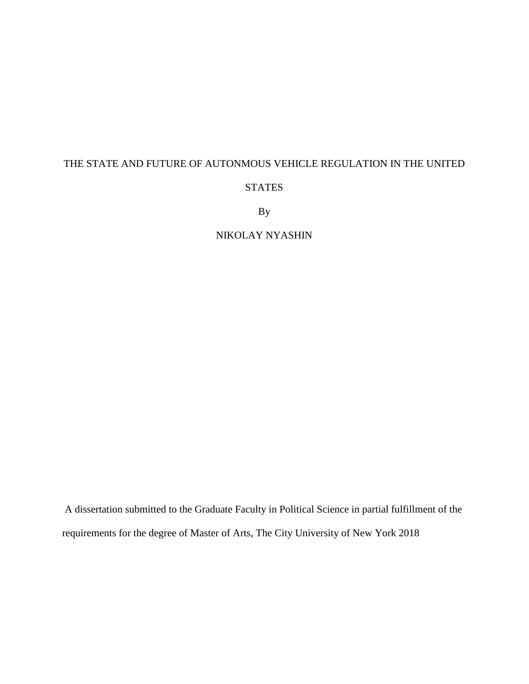### THE STATE AND FUTURE OF AUTONMOUS VEHICLE REGULATION IN THE UNITED

#### STATES

By

### NIKOLAY NYASHIN

A dissertation submitted to the Graduate Faculty in Political Science in partial fulfillment of the requirements for the degree of Master of Arts, The City University of New York 2018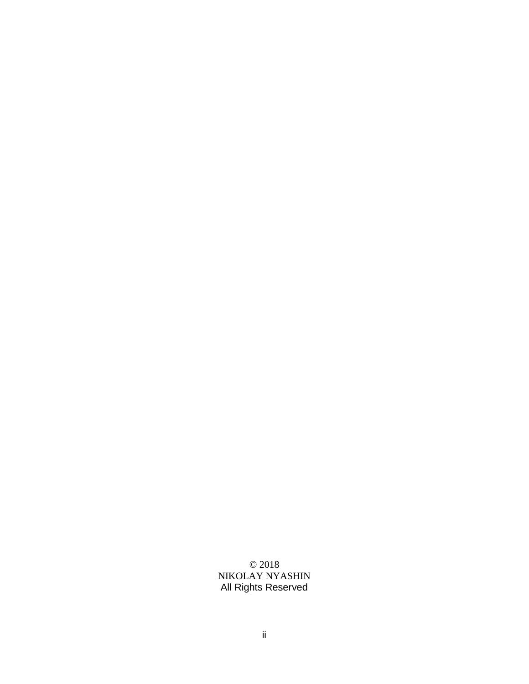© 2018 NIKOLAY NYASHIN All Rights Reserved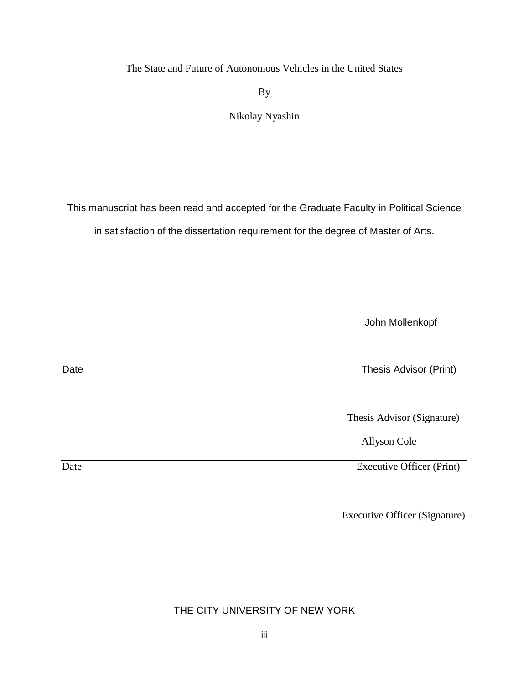The State and Future of Autonomous Vehicles in the United States

By

Nikolay Nyashin

This manuscript has been read and accepted for the Graduate Faculty in Political Science

in satisfaction of the dissertation requirement for the degree of Master of Arts.

John Mollenkopf

Date Thesis Advisor (Print)

Thesis Advisor (Signature)

Allyson Cole

Date Executive Officer (Print)

Executive Officer (Signature)

THE CITY UNIVERSITY OF NEW YORK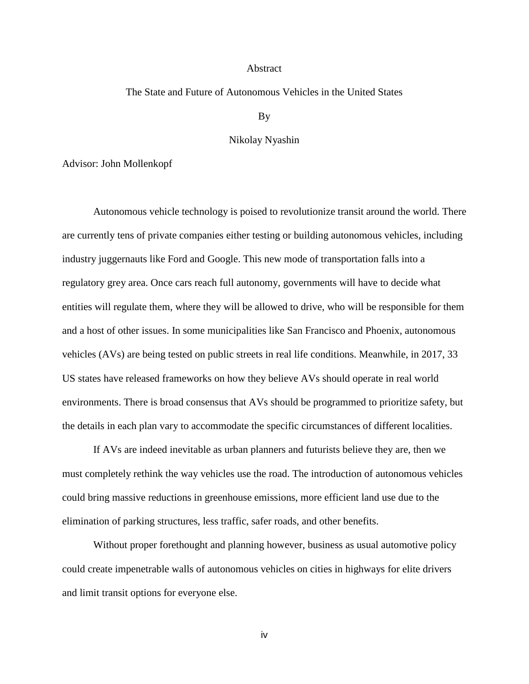#### Abstract

#### The State and Future of Autonomous Vehicles in the United States

By

#### Nikolay Nyashin

Advisor: John Mollenkopf

Autonomous vehicle technology is poised to revolutionize transit around the world. There are currently tens of private companies either testing or building autonomous vehicles, including industry juggernauts like Ford and Google. This new mode of transportation falls into a regulatory grey area. Once cars reach full autonomy, governments will have to decide what entities will regulate them, where they will be allowed to drive, who will be responsible for them and a host of other issues. In some municipalities like San Francisco and Phoenix, autonomous vehicles (AVs) are being tested on public streets in real life conditions. Meanwhile, in 2017, 33 US states have released frameworks on how they believe AVs should operate in real world environments. There is broad consensus that AVs should be programmed to prioritize safety, but the details in each plan vary to accommodate the specific circumstances of different localities.

If AVs are indeed inevitable as urban planners and futurists believe they are, then we must completely rethink the way vehicles use the road. The introduction of autonomous vehicles could bring massive reductions in greenhouse emissions, more efficient land use due to the elimination of parking structures, less traffic, safer roads, and other benefits.

Without proper forethought and planning however, business as usual automotive policy could create impenetrable walls of autonomous vehicles on cities in highways for elite drivers and limit transit options for everyone else.

iv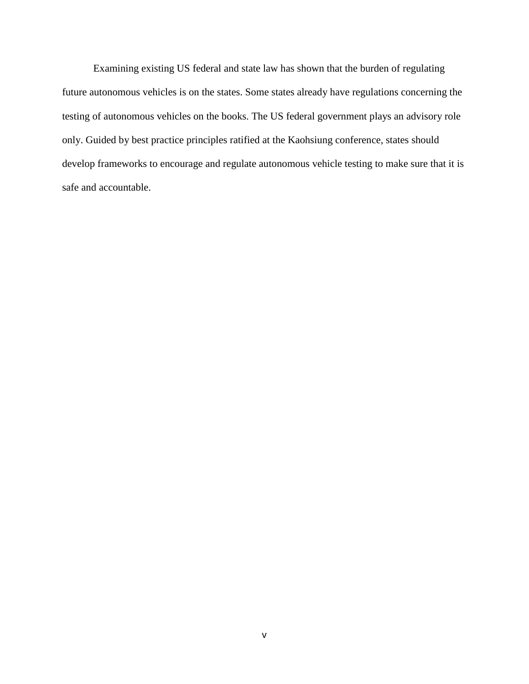Examining existing US federal and state law has shown that the burden of regulating future autonomous vehicles is on the states. Some states already have regulations concerning the testing of autonomous vehicles on the books. The US federal government plays an advisory role only. Guided by best practice principles ratified at the Kaohsiung conference, states should develop frameworks to encourage and regulate autonomous vehicle testing to make sure that it is safe and accountable.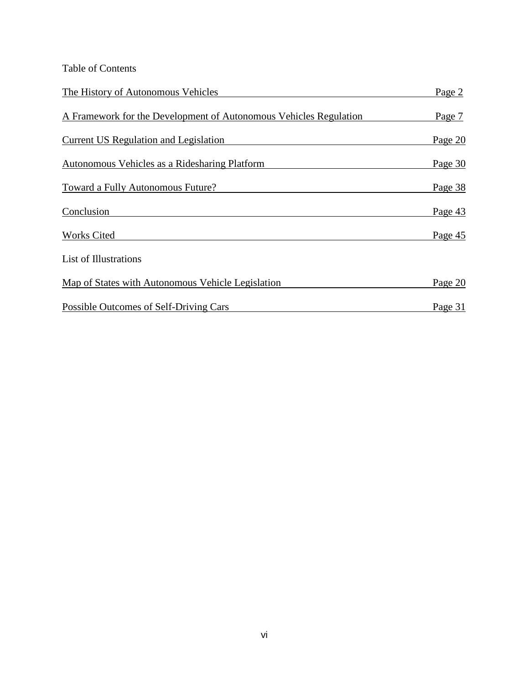Table of Contents

| The History of Autonomous Vehicles                                | Page 2  |
|-------------------------------------------------------------------|---------|
| A Framework for the Development of Autonomous Vehicles Regulation | Page 7  |
| Current US Regulation and Legislation                             | Page 20 |
| <b>Autonomous Vehicles as a Ridesharing Platform</b>              | Page 30 |
| Toward a Fully Autonomous Future?                                 | Page 38 |
| Conclusion                                                        | Page 43 |
| <b>Works Cited</b>                                                | Page 45 |
| List of Illustrations                                             |         |
| Map of States with Autonomous Vehicle Legislation                 | Page 20 |
| Possible Outcomes of Self-Driving Cars                            | Page 31 |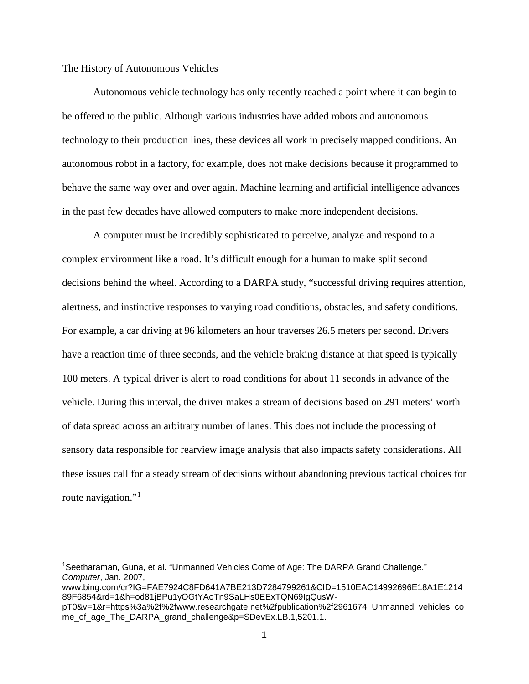#### The History of Autonomous Vehicles

Autonomous vehicle technology has only recently reached a point where it can begin to be offered to the public. Although various industries have added robots and autonomous technology to their production lines, these devices all work in precisely mapped conditions. An autonomous robot in a factory, for example, does not make decisions because it programmed to behave the same way over and over again. Machine learning and artificial intelligence advances in the past few decades have allowed computers to make more independent decisions.

A computer must be incredibly sophisticated to perceive, analyze and respond to a complex environment like a road. It's difficult enough for a human to make split second decisions behind the wheel. According to a DARPA study, "successful driving requires attention, alertness, and instinctive responses to varying road conditions, obstacles, and safety conditions. For example, a car driving at 96 kilometers an hour traverses 26.5 meters per second. Drivers have a reaction time of three seconds, and the vehicle braking distance at that speed is typically 100 meters. A typical driver is alert to road conditions for about 11 seconds in advance of the vehicle. During this interval, the driver makes a stream of decisions based on 291 meters' worth of data spread across an arbitrary number of lanes. This does not include the processing of sensory data responsible for rearview image analysis that also impacts safety considerations. All these issues call for a steady stream of decisions without abandoning previous tactical choices for route navigation."<sup>[1](#page-7-0)</sup>

<span id="page-7-0"></span> <sup>1</sup> Seetharaman, Guna, et al. "Unmanned Vehicles Come of Age: The DARPA Grand Challenge." *Computer*, Jan. 2007,

www.bing.com/cr?IG=FAE7924C8FD641A7BE213D7284799261&CID=1510EAC14992696E18A1E1214 89F6854&rd=1&h=od81jBPu1yOGtYAoTn9SaLHs0EExTQN69IgQusW-

pT0&v=1&r=https%3a%2f%2fwww.researchgate.net%2fpublication%2f2961674\_Unmanned\_vehicles\_co me\_of\_age\_The\_DARPA\_grand\_challenge&p=SDevEx.LB.1,5201.1.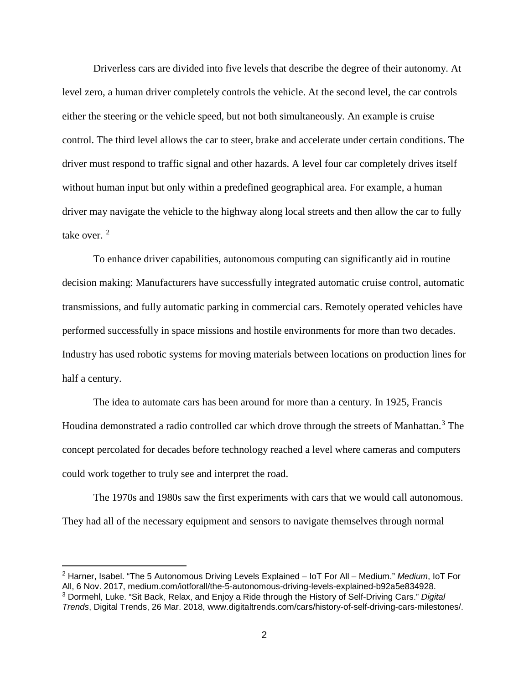Driverless cars are divided into five levels that describe the degree of their autonomy. At level zero, a human driver completely controls the vehicle. At the second level, the car controls either the steering or the vehicle speed, but not both simultaneously. An example is cruise control. The third level allows the car to steer, brake and accelerate under certain conditions. The driver must respond to traffic signal and other hazards. A level four car completely drives itself without human input but only within a predefined geographical area. For example, a human driver may navigate the vehicle to the highway along local streets and then allow the car to fully take over.  $2$ 

To enhance driver capabilities, autonomous computing can significantly aid in routine decision making: Manufacturers have successfully integrated automatic cruise control, automatic transmissions, and fully automatic parking in commercial cars. Remotely operated vehicles have performed successfully in space missions and hostile environments for more than two decades. Industry has used robotic systems for moving materials between locations on production lines for half a century.

The idea to automate cars has been around for more than a century. In 1925, Francis Houdina demonstrated a radio controlled car which drove through the streets of Manhattan.<sup>[3](#page-8-1)</sup> The concept percolated for decades before technology reached a level where cameras and computers could work together to truly see and interpret the road.

The 1970s and 1980s saw the first experiments with cars that we would call autonomous. They had all of the necessary equipment and sensors to navigate themselves through normal

<span id="page-8-1"></span><span id="page-8-0"></span> <sup>2</sup> Harner, Isabel. "The 5 Autonomous Driving Levels Explained – IoT For All – Medium." *Medium*, IoT For All, 6 Nov. 2017, medium.com/iotforall/the-5-autonomous-driving-levels-explained-b92a5e834928. <sup>3</sup> Dormehl, Luke. "Sit Back, Relax, and Enjoy a Ride through the History of Self-Driving Cars." *Digital Trends*, Digital Trends, 26 Mar. 2018, www.digitaltrends.com/cars/history-of-self-driving-cars-milestones/.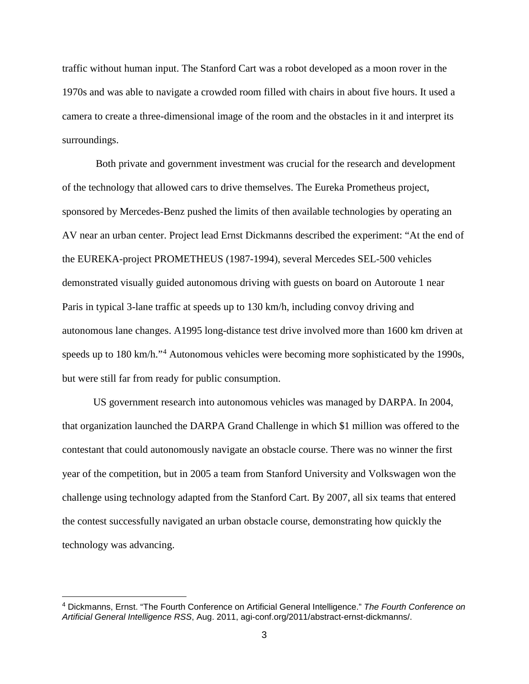traffic without human input. The Stanford Cart was a robot developed as a moon rover in the 1970s and was able to navigate a crowded room filled with chairs in about five hours. It used a camera to create a three-dimensional image of the room and the obstacles in it and interpret its surroundings.

Both private and government investment was crucial for the research and development of the technology that allowed cars to drive themselves. The Eureka Prometheus project, sponsored by Mercedes-Benz pushed the limits of then available technologies by operating an AV near an urban center. Project lead Ernst Dickmanns described the experiment: "At the end of the EUREKA-project PROMETHEUS (1987-1994), several Mercedes SEL-500 vehicles demonstrated visually guided autonomous driving with guests on board on Autoroute 1 near Paris in typical 3-lane traffic at speeds up to 130 km/h, including convoy driving and autonomous lane changes. A1995 long-distance test drive involved more than 1600 km driven at speeds up to 180 km/h."<sup>[4](#page-9-0)</sup> Autonomous vehicles were becoming more sophisticated by the 1990s, but were still far from ready for public consumption.

US government research into autonomous vehicles was managed by DARPA. In 2004, that organization launched the DARPA Grand Challenge in which \$1 million was offered to the contestant that could autonomously navigate an obstacle course. There was no winner the first year of the competition, but in 2005 a team from Stanford University and Volkswagen won the challenge using technology adapted from the Stanford Cart. By 2007, all six teams that entered the contest successfully navigated an urban obstacle course, demonstrating how quickly the technology was advancing.

<span id="page-9-0"></span> <sup>4</sup> Dickmanns, Ernst. "The Fourth Conference on Artificial General Intelligence." *The Fourth Conference on Artificial General Intelligence RSS*, Aug. 2011, agi-conf.org/2011/abstract-ernst-dickmanns/.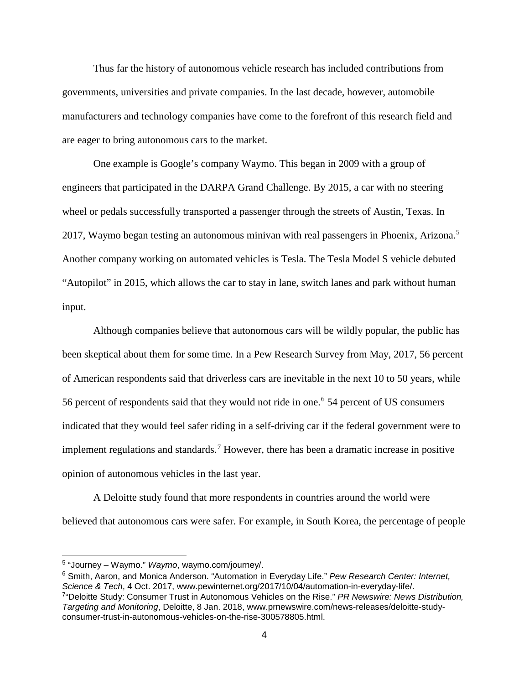Thus far the history of autonomous vehicle research has included contributions from governments, universities and private companies. In the last decade, however, automobile manufacturers and technology companies have come to the forefront of this research field and are eager to bring autonomous cars to the market.

One example is Google's company Waymo. This began in 2009 with a group of engineers that participated in the DARPA Grand Challenge. By 2015, a car with no steering wheel or pedals successfully transported a passenger through the streets of Austin, Texas. In 2017, Waymo began testing an autonomous minivan with real passengers in Phoenix, Arizona.<sup>[5](#page-10-0)</sup> Another company working on automated vehicles is Tesla. The Tesla Model S vehicle debuted "Autopilot" in 2015, which allows the car to stay in lane, switch lanes and park without human input.

Although companies believe that autonomous cars will be wildly popular, the public has been skeptical about them for some time. In a Pew Research Survey from May, 2017, 56 percent of American respondents said that driverless cars are inevitable in the next 10 to 50 years, while 5[6](#page-10-1) percent of respondents said that they would not ride in one.<sup>6</sup> 54 percent of US consumers indicated that they would feel safer riding in a self-driving car if the federal government were to implement regulations and standards.<sup>[7](#page-10-2)</sup> However, there has been a dramatic increase in positive opinion of autonomous vehicles in the last year.

A Deloitte study found that more respondents in countries around the world were believed that autonomous cars were safer. For example, in South Korea, the percentage of people

<span id="page-10-2"></span><span id="page-10-1"></span><sup>6</sup> Smith, Aaron, and Monica Anderson. "Automation in Everyday Life." *Pew Research Center: Internet, Science & Tech*, 4 Oct. 2017, www.pewinternet.org/2017/10/04/automation-in-everyday-life/. 7 "Deloitte Study: Consumer Trust in Autonomous Vehicles on the Rise." *PR Newswire: News Distribution, Targeting and Monitoring*, Deloitte, 8 Jan. 2018, www.prnewswire.com/news-releases/deloitte-study-

<span id="page-10-0"></span> <sup>5</sup> "Journey – Waymo." *Waymo*, waymo.com/journey/.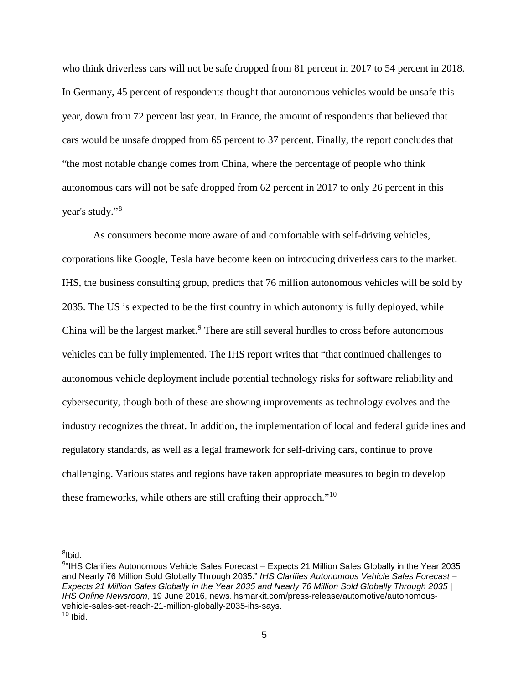who think driverless cars will not be safe dropped from 81 percent in 2017 to 54 percent in 2018. In Germany, 45 percent of respondents thought that autonomous vehicles would be unsafe this year, down from 72 percent last year. In France, the amount of respondents that believed that cars would be unsafe dropped from 65 percent to 37 percent. Finally, the report concludes that "the most notable change comes from China, where the percentage of people who think autonomous cars will not be safe dropped from 62 percent in 2017 to only 26 percent in this year's study."[8](#page-11-0)

As consumers become more aware of and comfortable with self-driving vehicles, corporations like Google, Tesla have become keen on introducing driverless cars to the market. IHS, the business consulting group, predicts that 76 million autonomous vehicles will be sold by 2035. The US is expected to be the first country in which autonomy is fully deployed, while China will be the largest market.<sup>[9](#page-11-1)</sup> There are still several hurdles to cross before autonomous vehicles can be fully implemented. The IHS report writes that "that continued challenges to autonomous vehicle deployment include potential technology risks for software reliability and cybersecurity, though both of these are showing improvements as technology evolves and the industry recognizes the threat. In addition, the implementation of local and federal guidelines and regulatory standards, as well as a legal framework for self-driving cars, continue to prove challenging. Various states and regions have taken appropriate measures to begin to develop these frameworks, while others are still crafting their approach."<sup>[10](#page-11-2)</sup>

<span id="page-11-0"></span>um<br><sup>8</sup>lbid.

<span id="page-11-2"></span><span id="page-11-1"></span><sup>9</sup> "IHS Clarifies Autonomous Vehicle Sales Forecast – Expects 21 Million Sales Globally in the Year 2035 and Nearly 76 Million Sold Globally Through 2035." *IHS Clarifies Autonomous Vehicle Sales Forecast – Expects 21 Million Sales Globally in the Year 2035 and Nearly 76 Million Sold Globally Through 2035 | IHS Online Newsroom*, 19 June 2016, news.ihsmarkit.com/press-release/automotive/autonomousvehicle-sales-set-reach-21-million-globally-2035-ihs-says.  $10$  Ibid.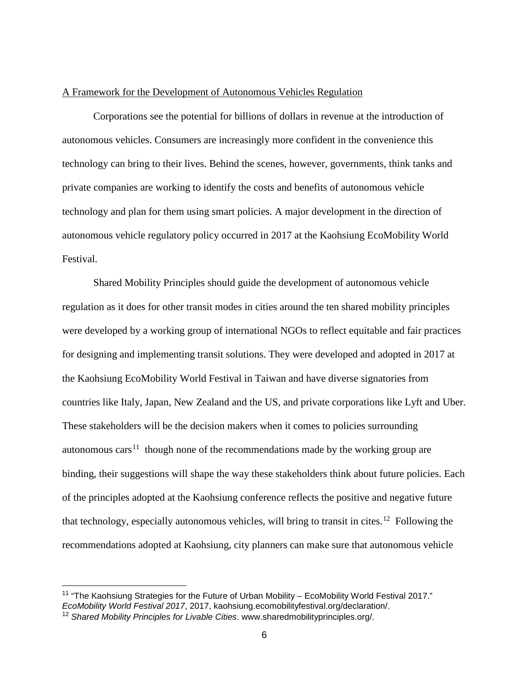#### A Framework for the Development of Autonomous Vehicles Regulation

Corporations see the potential for billions of dollars in revenue at the introduction of autonomous vehicles. Consumers are increasingly more confident in the convenience this technology can bring to their lives. Behind the scenes, however, governments, think tanks and private companies are working to identify the costs and benefits of autonomous vehicle technology and plan for them using smart policies. A major development in the direction of autonomous vehicle regulatory policy occurred in 2017 at the Kaohsiung EcoMobility World Festival.

Shared Mobility Principles should guide the development of autonomous vehicle regulation as it does for other transit modes in cities around the ten shared mobility principles were developed by a working group of international NGOs to reflect equitable and fair practices for designing and implementing transit solutions. They were developed and adopted in 2017 at the Kaohsiung EcoMobility World Festival in Taiwan and have diverse signatories from countries like Italy, Japan, New Zealand and the US, and private corporations like Lyft and Uber. These stakeholders will be the decision makers when it comes to policies surrounding autonomous cars<sup>11</sup> though none of the recommendations made by the working group are binding, their suggestions will shape the way these stakeholders think about future policies. Each of the principles adopted at the Kaohsiung conference reflects the positive and negative future that technology, especially autonomous vehicles, will bring to transit in cites.<sup>12</sup> Following the recommendations adopted at Kaohsiung, city planners can make sure that autonomous vehicle

<span id="page-12-0"></span><sup>&</sup>lt;sup>11</sup> "The Kaohsiung Strategies for the Future of Urban Mobility – EcoMobility World Festival 2017." *EcoMobility World Festival 2017*, 2017, kaohsiung.ecomobilityfestival.org/declaration/.

<span id="page-12-1"></span><sup>12</sup> *Shared Mobility Principles for Livable Cities*. www.sharedmobilityprinciples.org/.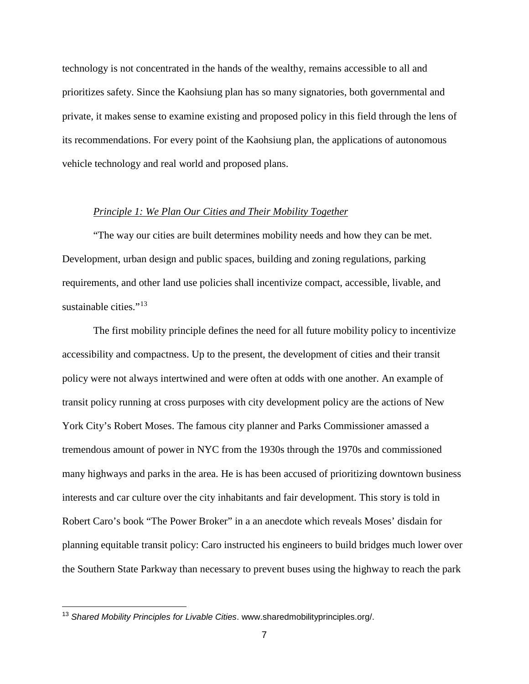technology is not concentrated in the hands of the wealthy, remains accessible to all and prioritizes safety. Since the Kaohsiung plan has so many signatories, both governmental and private, it makes sense to examine existing and proposed policy in this field through the lens of its recommendations. For every point of the Kaohsiung plan, the applications of autonomous vehicle technology and real world and proposed plans.

#### *Principle 1: We Plan Our Cities and Their Mobility Together*

"The way our cities are built determines mobility needs and how they can be met. Development, urban design and public spaces, building and zoning regulations, parking requirements, and other land use policies shall incentivize compact, accessible, livable, and sustainable cities." $13$ 

The first mobility principle defines the need for all future mobility policy to incentivize accessibility and compactness. Up to the present, the development of cities and their transit policy were not always intertwined and were often at odds with one another. An example of transit policy running at cross purposes with city development policy are the actions of New York City's Robert Moses. The famous city planner and Parks Commissioner amassed a tremendous amount of power in NYC from the 1930s through the 1970s and commissioned many highways and parks in the area. He is has been accused of prioritizing downtown business interests and car culture over the city inhabitants and fair development. This story is told in Robert Caro's book "The Power Broker" in a an anecdote which reveals Moses' disdain for planning equitable transit policy: Caro instructed his engineers to build bridges much lower over the Southern State Parkway than necessary to prevent buses using the highway to reach the park

<span id="page-13-0"></span> <sup>13</sup> *Shared Mobility Principles for Livable Cities*. www.sharedmobilityprinciples.org/.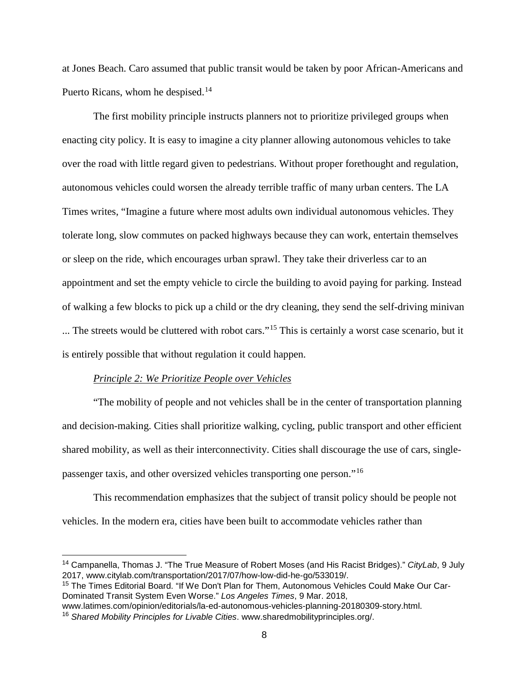at Jones Beach. Caro assumed that public transit would be taken by poor African-Americans and Puerto Ricans, whom he despised.<sup>[14](#page-14-0)</sup>

The first mobility principle instructs planners not to prioritize privileged groups when enacting city policy. It is easy to imagine a city planner allowing autonomous vehicles to take over the road with little regard given to pedestrians. Without proper forethought and regulation, autonomous vehicles could worsen the already terrible traffic of many urban centers. The LA Times writes, "Imagine a future where most adults own individual autonomous vehicles. They tolerate long, slow commutes on packed highways because they can work, entertain themselves or sleep on the ride, which encourages urban sprawl. They take their driverless car to an appointment and set the empty vehicle to circle the building to avoid paying for parking. Instead of walking a few blocks to pick up a child or the dry cleaning, they send the self-driving minivan ... The streets would be cluttered with robot cars."[15](#page-14-1) This is certainly a worst case scenario, but it is entirely possible that without regulation it could happen.

#### *Principle 2: We Prioritize People over Vehicles*

"The mobility of people and not vehicles shall be in the center of transportation planning and decision-making. Cities shall prioritize walking, cycling, public transport and other efficient shared mobility, as well as their interconnectivity. Cities shall discourage the use of cars, singlepassenger taxis, and other oversized vehicles transporting one person."[16](#page-14-2)

This recommendation emphasizes that the subject of transit policy should be people not vehicles. In the modern era, cities have been built to accommodate vehicles rather than

<span id="page-14-0"></span> <sup>14</sup> Campanella, Thomas J. "The True Measure of Robert Moses (and His Racist Bridges)." *CityLab*, 9 July 2017, www.citylab.com/transportation/2017/07/how-low-did-he-go/533019/.

<span id="page-14-1"></span><sup>15</sup> The Times Editorial Board. "If We Don't Plan for Them, Autonomous Vehicles Could Make Our Car-Dominated Transit System Even Worse." *Los Angeles Times*, 9 Mar. 2018,

www.latimes.com/opinion/editorials/la-ed-autonomous-vehicles-planning-20180309-story.html.

<span id="page-14-2"></span><sup>16</sup> *Shared Mobility Principles for Livable Cities*. www.sharedmobilityprinciples.org/.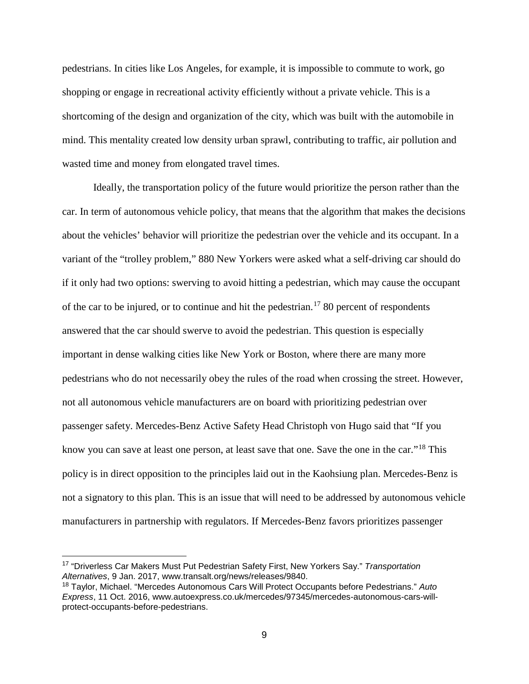pedestrians. In cities like Los Angeles, for example, it is impossible to commute to work, go shopping or engage in recreational activity efficiently without a private vehicle. This is a shortcoming of the design and organization of the city, which was built with the automobile in mind. This mentality created low density urban sprawl, contributing to traffic, air pollution and wasted time and money from elongated travel times.

Ideally, the transportation policy of the future would prioritize the person rather than the car. In term of autonomous vehicle policy, that means that the algorithm that makes the decisions about the vehicles' behavior will prioritize the pedestrian over the vehicle and its occupant. In a variant of the "trolley problem," 880 New Yorkers were asked what a self-driving car should do if it only had two options: swerving to avoid hitting a pedestrian, which may cause the occupant of the car to be injured, or to continue and hit the pedestrian.<sup>[17](#page-15-0)</sup> 80 percent of respondents answered that the car should swerve to avoid the pedestrian. This question is especially important in dense walking cities like New York or Boston, where there are many more pedestrians who do not necessarily obey the rules of the road when crossing the street. However, not all autonomous vehicle manufacturers are on board with prioritizing pedestrian over passenger safety. Mercedes-Benz Active Safety Head Christoph von Hugo said that "If you know you can save at least one person, at least save that one. Save the one in the car."<sup>[18](#page-15-1)</sup> This policy is in direct opposition to the principles laid out in the Kaohsiung plan. Mercedes-Benz is not a signatory to this plan. This is an issue that will need to be addressed by autonomous vehicle manufacturers in partnership with regulators. If Mercedes-Benz favors prioritizes passenger

<span id="page-15-0"></span> <sup>17</sup> "Driverless Car Makers Must Put Pedestrian Safety First, New Yorkers Say." *Transportation Alternatives*, 9 Jan. 2017, www.transalt.org/news/releases/9840.

<span id="page-15-1"></span><sup>18</sup> Taylor, Michael. "Mercedes Autonomous Cars Will Protect Occupants before Pedestrians." *Auto Express*, 11 Oct. 2016, www.autoexpress.co.uk/mercedes/97345/mercedes-autonomous-cars-willprotect-occupants-before-pedestrians.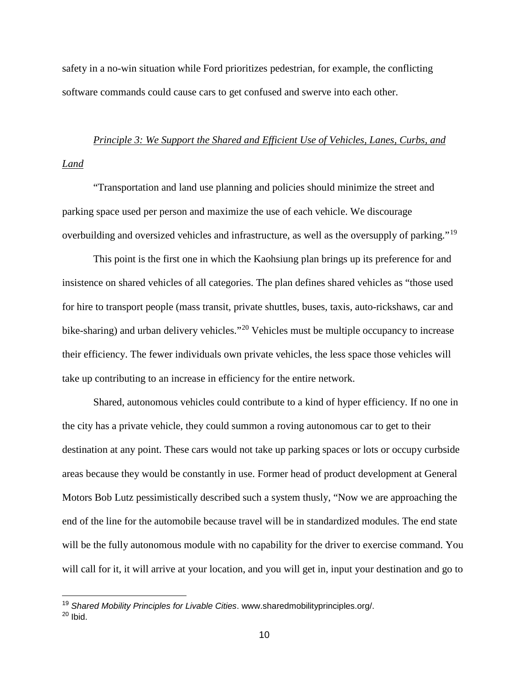safety in a no-win situation while Ford prioritizes pedestrian, for example, the conflicting software commands could cause cars to get confused and swerve into each other.

# *Principle 3: We Support the Shared and Efficient Use of Vehicles, Lanes, Curbs, and Land*

"Transportation and land use planning and policies should minimize the street and parking space used per person and maximize the use of each vehicle. We discourage overbuilding and oversized vehicles and infrastructure, as well as the oversupply of parking."[19](#page-16-0)

This point is the first one in which the Kaohsiung plan brings up its preference for and insistence on shared vehicles of all categories. The plan defines shared vehicles as "those used for hire to transport people (mass transit, private shuttles, buses, taxis, auto-rickshaws, car and bike-sharing) and urban delivery vehicles."<sup>[20](#page-16-1)</sup> Vehicles must be multiple occupancy to increase their efficiency. The fewer individuals own private vehicles, the less space those vehicles will take up contributing to an increase in efficiency for the entire network.

Shared, autonomous vehicles could contribute to a kind of hyper efficiency. If no one in the city has a private vehicle, they could summon a roving autonomous car to get to their destination at any point. These cars would not take up parking spaces or lots or occupy curbside areas because they would be constantly in use. Former head of product development at General Motors Bob Lutz pessimistically described such a system thusly, "Now we are approaching the end of the line for the automobile because travel will be in standardized modules. The end state will be the fully autonomous module with no capability for the driver to exercise command. You will call for it, it will arrive at your location, and you will get in, input your destination and go to

<span id="page-16-0"></span> <sup>19</sup> *Shared Mobility Principles for Livable Cities*. www.sharedmobilityprinciples.org/.

<span id="page-16-1"></span> $20$  Ibid.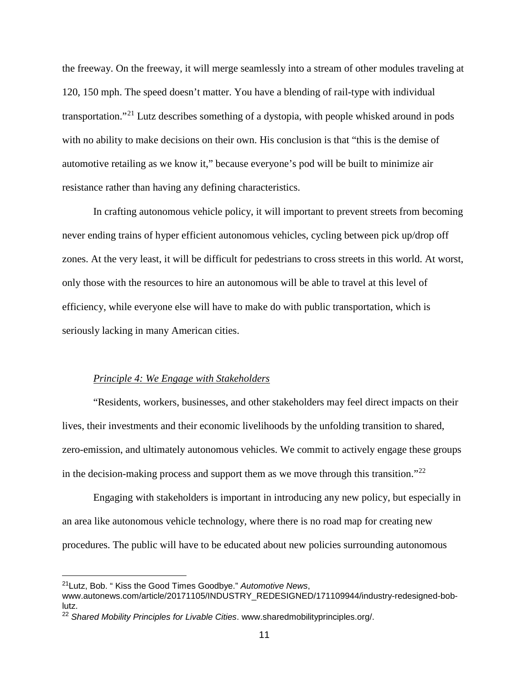the freeway. On the freeway, it will merge seamlessly into a stream of other modules traveling at 120, 150 mph. The speed doesn't matter. You have a blending of rail-type with individual transportation."[21](#page-17-0) Lutz describes something of a dystopia, with people whisked around in pods with no ability to make decisions on their own. His conclusion is that "this is the demise of automotive retailing as we know it," because everyone's pod will be built to minimize air resistance rather than having any defining characteristics.

In crafting autonomous vehicle policy, it will important to prevent streets from becoming never ending trains of hyper efficient autonomous vehicles, cycling between pick up/drop off zones. At the very least, it will be difficult for pedestrians to cross streets in this world. At worst, only those with the resources to hire an autonomous will be able to travel at this level of efficiency, while everyone else will have to make do with public transportation, which is seriously lacking in many American cities.

#### *Principle 4: We Engage with Stakeholders*

"Residents, workers, businesses, and other stakeholders may feel direct impacts on their lives, their investments and their economic livelihoods by the unfolding transition to shared, zero-emission, and ultimately autonomous vehicles. We commit to actively engage these groups in the decision-making process and support them as we move through this transition."<sup>[22](#page-17-1)</sup>

Engaging with stakeholders is important in introducing any new policy, but especially in an area like autonomous vehicle technology, where there is no road map for creating new procedures. The public will have to be educated about new policies surrounding autonomous

<span id="page-17-0"></span> <sup>21</sup>Lutz, Bob. " Kiss the Good Times Goodbye." *Automotive News*,

www.autonews.com/article/20171105/INDUSTRY\_REDESIGNED/171109944/industry-redesigned-boblutz.

<span id="page-17-1"></span><sup>22</sup> *Shared Mobility Principles for Livable Cities*. www.sharedmobilityprinciples.org/.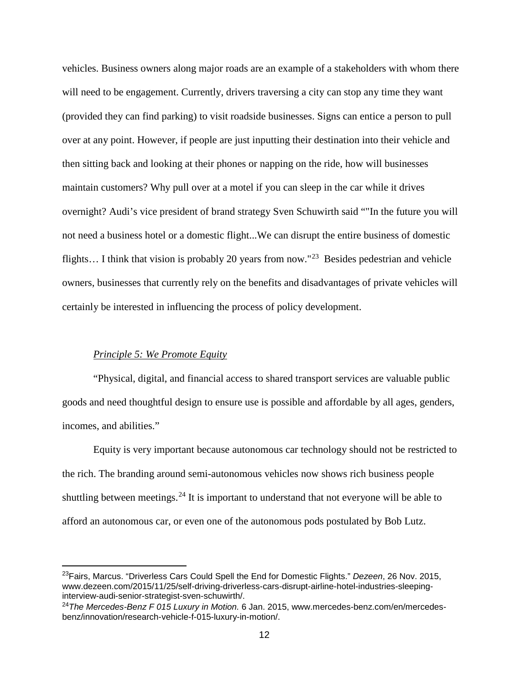vehicles. Business owners along major roads are an example of a stakeholders with whom there will need to be engagement. Currently, drivers traversing a city can stop any time they want (provided they can find parking) to visit roadside businesses. Signs can entice a person to pull over at any point. However, if people are just inputting their destination into their vehicle and then sitting back and looking at their phones or napping on the ride, how will businesses maintain customers? Why pull over at a motel if you can sleep in the car while it drives overnight? Audi's vice president of brand strategy Sven Schuwirth said ""In the future you will not need a business hotel or a domestic flight...We can disrupt the entire business of domestic flights… I think that vision is probably 20 years from now."[23](#page-18-0) Besides pedestrian and vehicle owners, businesses that currently rely on the benefits and disadvantages of private vehicles will certainly be interested in influencing the process of policy development.

#### *Principle 5: We Promote Equity*

"Physical, digital, and financial access to shared transport services are valuable public goods and need thoughtful design to ensure use is possible and affordable by all ages, genders, incomes, and abilities."

Equity is very important because autonomous car technology should not be restricted to the rich. The branding around semi-autonomous vehicles now shows rich business people shuttling between meetings.<sup>[24](#page-18-1)</sup> It is important to understand that not everyone will be able to afford an autonomous car, or even one of the autonomous pods postulated by Bob Lutz.

<span id="page-18-0"></span> <sup>23</sup>Fairs, Marcus. "Driverless Cars Could Spell the End for Domestic Flights." *Dezeen*, 26 Nov. 2015, www.dezeen.com/2015/11/25/self-driving-driverless-cars-disrupt-airline-hotel-industries-sleepinginterview-audi-senior-strategist-sven-schuwirth/.

<span id="page-18-1"></span><sup>24</sup>*The Mercedes-Benz F 015 Luxury in Motion.* 6 Jan. 2015, www.mercedes-benz.com/en/mercedesbenz/innovation/research-vehicle-f-015-luxury-in-motion/.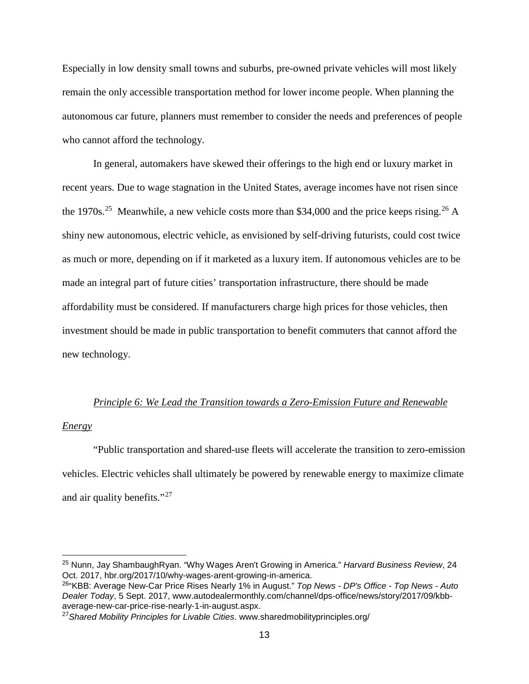Especially in low density small towns and suburbs, pre-owned private vehicles will most likely remain the only accessible transportation method for lower income people. When planning the autonomous car future, planners must remember to consider the needs and preferences of people who cannot afford the technology.

In general, automakers have skewed their offerings to the high end or luxury market in recent years. Due to wage stagnation in the United States, average incomes have not risen since the 1970s.<sup>25</sup> Meanwhile, a new vehicle costs more than \$34,000 and the price keeps rising.<sup>[26](#page-19-1)</sup> A shiny new autonomous, electric vehicle, as envisioned by self-driving futurists, could cost twice as much or more, depending on if it marketed as a luxury item. If autonomous vehicles are to be made an integral part of future cities' transportation infrastructure, there should be made affordability must be considered. If manufacturers charge high prices for those vehicles, then investment should be made in public transportation to benefit commuters that cannot afford the new technology.

#### *Principle 6: We Lead the Transition towards a Zero-Emission Future and Renewable*

#### *Energy*

"Public transportation and shared-use fleets will accelerate the transition to zero-emission vehicles. Electric vehicles shall ultimately be powered by renewable energy to maximize climate and air quality benefits."<sup>[27](#page-19-2)</sup>

<span id="page-19-0"></span> <sup>25</sup> Nunn, Jay ShambaughRyan. "Why Wages Aren't Growing in America." *Harvard Business Review*, 24 Oct. 2017, hbr.org/2017/10/why-wages-arent-growing-in-america.

<span id="page-19-1"></span><sup>26&</sup>quot;KBB: Average New-Car Price Rises Nearly 1% in August." *Top News - DP's Office - Top News - Auto Dealer Today*, 5 Sept. 2017, www.autodealermonthly.com/channel/dps-office/news/story/2017/09/kbbaverage-new-car-price-rise-nearly-1-in-august.aspx.

<span id="page-19-2"></span><sup>27</sup>*Shared Mobility Principles for Livable Cities*. www.sharedmobilityprinciples.org/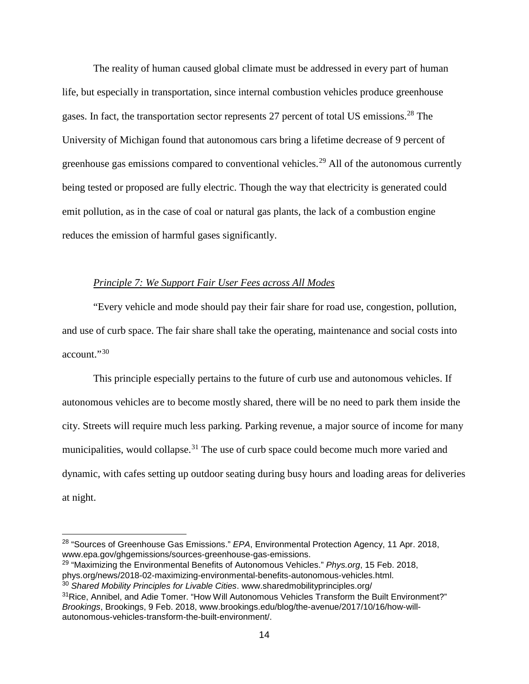The reality of human caused global climate must be addressed in every part of human life, but especially in transportation, since internal combustion vehicles produce greenhouse gases. In fact, the transportation sector represents 27 percent of total US emissions.<sup>[28](#page-20-0)</sup> The University of Michigan found that autonomous cars bring a lifetime decrease of 9 percent of greenhouse gas emissions compared to conventional vehicles.<sup>[29](#page-20-1)</sup> All of the autonomous currently being tested or proposed are fully electric. Though the way that electricity is generated could emit pollution, as in the case of coal or natural gas plants, the lack of a combustion engine reduces the emission of harmful gases significantly.

#### *Principle 7: We Support Fair User Fees across All Modes*

"Every vehicle and mode should pay their fair share for road use, congestion, pollution, and use of curb space. The fair share shall take the operating, maintenance and social costs into account."<sup>[30](#page-20-2)</sup>

This principle especially pertains to the future of curb use and autonomous vehicles. If autonomous vehicles are to become mostly shared, there will be no need to park them inside the city. Streets will require much less parking. Parking revenue, a major source of income for many municipalities, would collapse.<sup>[31](#page-20-3)</sup> The use of curb space could become much more varied and dynamic, with cafes setting up outdoor seating during busy hours and loading areas for deliveries at night.

<span id="page-20-2"></span><sup>30</sup> *Shared Mobility Principles for Livable Cities*. www.sharedmobilityprinciples.org/

<span id="page-20-0"></span> <sup>28</sup> "Sources of Greenhouse Gas Emissions." *EPA*, Environmental Protection Agency, 11 Apr. 2018, www.epa.gov/ghgemissions/sources-greenhouse-gas-emissions.

<span id="page-20-1"></span><sup>29</sup> "Maximizing the Environmental Benefits of Autonomous Vehicles." *Phys.org*, 15 Feb. 2018, phys.org/news/2018-02-maximizing-environmental-benefits-autonomous-vehicles.html.

<span id="page-20-3"></span><sup>&</sup>lt;sup>31</sup>Rice, Annibel, and Adie Tomer. "How Will Autonomous Vehicles Transform the Built Environment?" *Brookings*, Brookings, 9 Feb. 2018, www.brookings.edu/blog/the-avenue/2017/10/16/how-willautonomous-vehicles-transform-the-built-environment/.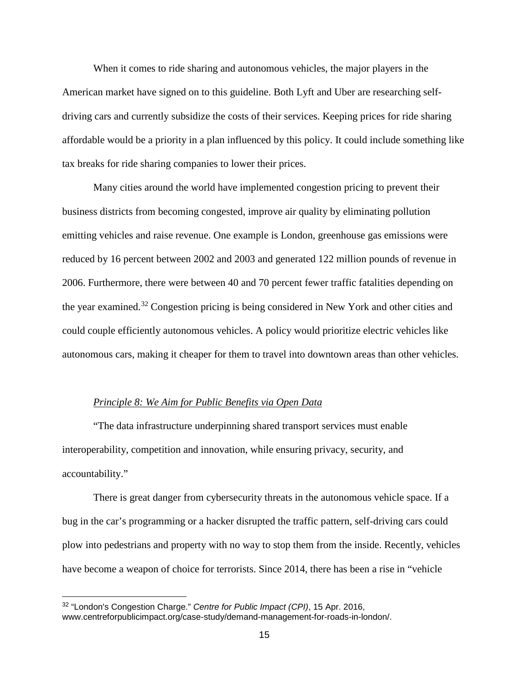When it comes to ride sharing and autonomous vehicles, the major players in the American market have signed on to this guideline. Both Lyft and Uber are researching selfdriving cars and currently subsidize the costs of their services. Keeping prices for ride sharing affordable would be a priority in a plan influenced by this policy. It could include something like tax breaks for ride sharing companies to lower their prices.

Many cities around the world have implemented congestion pricing to prevent their business districts from becoming congested, improve air quality by eliminating pollution emitting vehicles and raise revenue. One example is London, greenhouse gas emissions were reduced by 16 percent between 2002 and 2003 and generated 122 million pounds of revenue in 2006. Furthermore, there were between 40 and 70 percent fewer traffic fatalities depending on the year examined.[32](#page-21-0) Congestion pricing is being considered in New York and other cities and could couple efficiently autonomous vehicles. A policy would prioritize electric vehicles like autonomous cars, making it cheaper for them to travel into downtown areas than other vehicles.

#### *Principle 8: We Aim for Public Benefits via Open Data*

"The data infrastructure underpinning shared transport services must enable interoperability, competition and innovation, while ensuring privacy, security, and accountability."

There is great danger from cybersecurity threats in the autonomous vehicle space. If a bug in the car's programming or a hacker disrupted the traffic pattern, self-driving cars could plow into pedestrians and property with no way to stop them from the inside. Recently, vehicles have become a weapon of choice for terrorists. Since 2014, there has been a rise in "vehicle

<span id="page-21-0"></span> <sup>32</sup> "London's Congestion Charge." *Centre for Public Impact (CPI)*, 15 Apr. 2016, www.centreforpublicimpact.org/case-study/demand-management-for-roads-in-london/.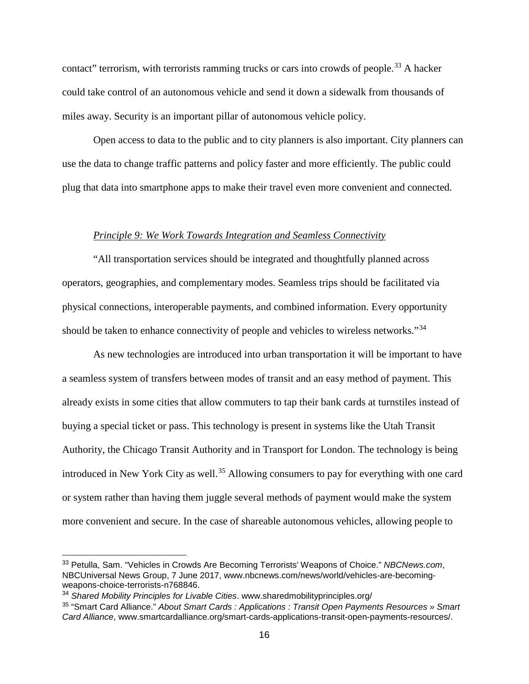contact" terrorism, with terrorists ramming trucks or cars into crowds of people.<sup>[33](#page-22-0)</sup> A hacker could take control of an autonomous vehicle and send it down a sidewalk from thousands of miles away. Security is an important pillar of autonomous vehicle policy.

Open access to data to the public and to city planners is also important. City planners can use the data to change traffic patterns and policy faster and more efficiently. The public could plug that data into smartphone apps to make their travel even more convenient and connected.

#### *Principle 9: We Work Towards Integration and Seamless Connectivity*

"All transportation services should be integrated and thoughtfully planned across operators, geographies, and complementary modes. Seamless trips should be facilitated via physical connections, interoperable payments, and combined information. Every opportunity should be taken to enhance connectivity of people and vehicles to wireless networks."<sup>[34](#page-22-1)</sup>

As new technologies are introduced into urban transportation it will be important to have a seamless system of transfers between modes of transit and an easy method of payment. This already exists in some cities that allow commuters to tap their bank cards at turnstiles instead of buying a special ticket or pass. This technology is present in systems like the Utah Transit Authority, the Chicago Transit Authority and in Transport for London. The technology is being introduced in New York City as well.<sup>[35](#page-22-2)</sup> Allowing consumers to pay for everything with one card or system rather than having them juggle several methods of payment would make the system more convenient and secure. In the case of shareable autonomous vehicles, allowing people to

<span id="page-22-0"></span> <sup>33</sup> Petulla, Sam. "Vehicles in Crowds Are Becoming Terrorists' Weapons of Choice." *NBCNews.com*, NBCUniversal News Group, 7 June 2017, www.nbcnews.com/news/world/vehicles-are-becomingweapons-choice-terrorists-n768846.

<span id="page-22-1"></span><sup>34</sup> *Shared Mobility Principles for Livable Cities*. www.sharedmobilityprinciples.org/

<span id="page-22-2"></span><sup>35</sup> "Smart Card Alliance." *About Smart Cards : Applications : Transit Open Payments Resources » Smart Card Alliance*, www.smartcardalliance.org/smart-cards-applications-transit-open-payments-resources/.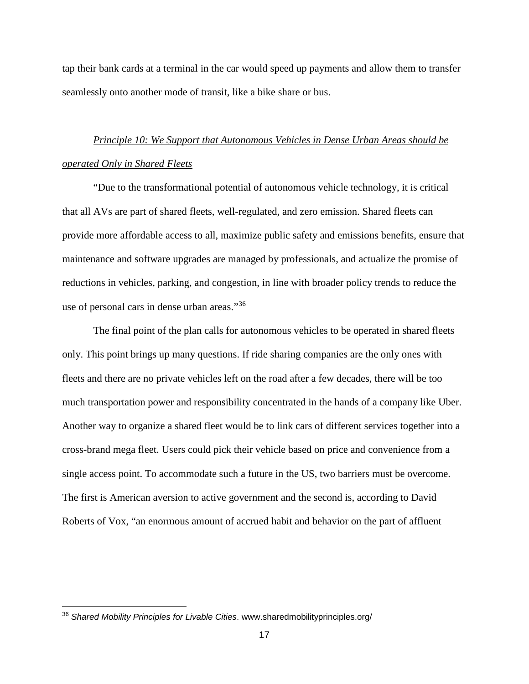tap their bank cards at a terminal in the car would speed up payments and allow them to transfer seamlessly onto another mode of transit, like a bike share or bus.

# *Principle 10: We Support that Autonomous Vehicles in Dense Urban Areas should be operated Only in Shared Fleets*

"Due to the transformational potential of autonomous vehicle technology, it is critical that all AVs are part of shared fleets, well-regulated, and zero emission. Shared fleets can provide more affordable access to all, maximize public safety and emissions benefits, ensure that maintenance and software upgrades are managed by professionals, and actualize the promise of reductions in vehicles, parking, and congestion, in line with broader policy trends to reduce the use of personal cars in dense urban areas."[36](#page-23-0)

The final point of the plan calls for autonomous vehicles to be operated in shared fleets only. This point brings up many questions. If ride sharing companies are the only ones with fleets and there are no private vehicles left on the road after a few decades, there will be too much transportation power and responsibility concentrated in the hands of a company like Uber. Another way to organize a shared fleet would be to link cars of different services together into a cross-brand mega fleet. Users could pick their vehicle based on price and convenience from a single access point. To accommodate such a future in the US, two barriers must be overcome. The first is American aversion to active government and the second is, according to David Roberts of Vox, "an enormous amount of accrued habit and behavior on the part of affluent

<span id="page-23-0"></span> <sup>36</sup> *Shared Mobility Principles for Livable Cities*. www.sharedmobilityprinciples.org/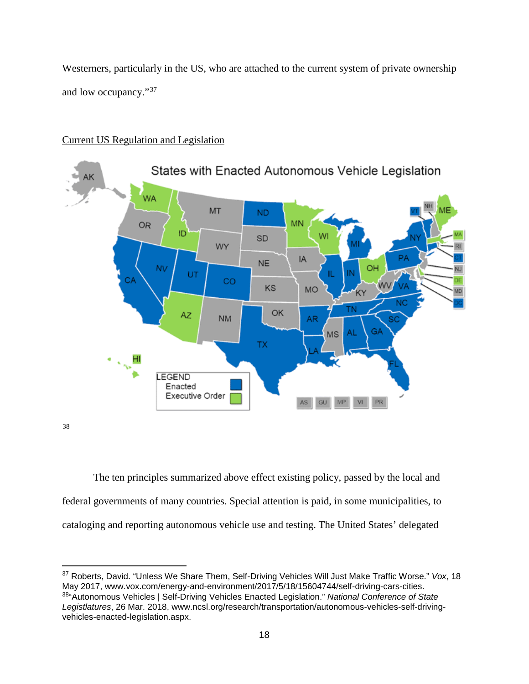Westerners, particularly in the US, who are attached to the current system of private ownership and low occupancy."[37](#page-24-0)



### Current US Regulation and Legislation

[38](#page-24-1)

The ten principles summarized above effect existing policy, passed by the local and federal governments of many countries. Special attention is paid, in some municipalities, to cataloging and reporting autonomous vehicle use and testing. The United States' delegated

<span id="page-24-1"></span><span id="page-24-0"></span> 37 Roberts, David. "Unless We Share Them, Self-Driving Vehicles Will Just Make Traffic Worse." *Vox*, 18 May 2017, www.vox.com/energy-and-environment/2017/5/18/15604744/self-driving-cars-cities. 38"Autonomous Vehicles | Self-Driving Vehicles Enacted Legislation." *National Conference of State Legistlatures*, 26 Mar. 2018, www.ncsl.org/research/transportation/autonomous-vehicles-self-drivingvehicles-enacted-legislation.aspx.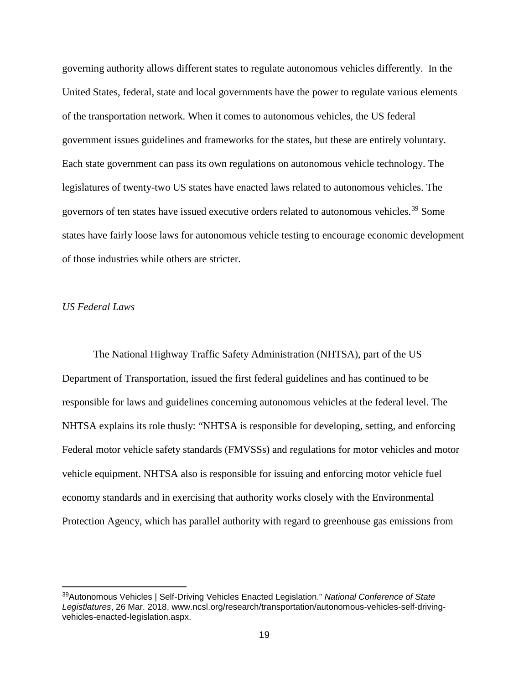governing authority allows different states to regulate autonomous vehicles differently. In the United States, federal, state and local governments have the power to regulate various elements of the transportation network. When it comes to autonomous vehicles, the US federal government issues guidelines and frameworks for the states, but these are entirely voluntary. Each state government can pass its own regulations on autonomous vehicle technology. The legislatures of twenty-two US states have enacted laws related to autonomous vehicles. The governors of ten states have issued executive orders related to autonomous vehicles.<sup>[39](#page-25-0)</sup> Some states have fairly loose laws for autonomous vehicle testing to encourage economic development of those industries while others are stricter.

#### *US Federal Laws*

The National Highway Traffic Safety Administration (NHTSA), part of the US Department of Transportation, issued the first federal guidelines and has continued to be responsible for laws and guidelines concerning autonomous vehicles at the federal level. The NHTSA explains its role thusly: "NHTSA is responsible for developing, setting, and enforcing Federal motor vehicle safety standards (FMVSSs) and regulations for motor vehicles and motor vehicle equipment. NHTSA also is responsible for issuing and enforcing motor vehicle fuel economy standards and in exercising that authority works closely with the Environmental Protection Agency, which has parallel authority with regard to greenhouse gas emissions from

<span id="page-25-0"></span> <sup>39</sup>Autonomous Vehicles | Self-Driving Vehicles Enacted Legislation." *National Conference of State Legistlatures*, 26 Mar. 2018, www.ncsl.org/research/transportation/autonomous-vehicles-self-drivingvehicles-enacted-legislation.aspx.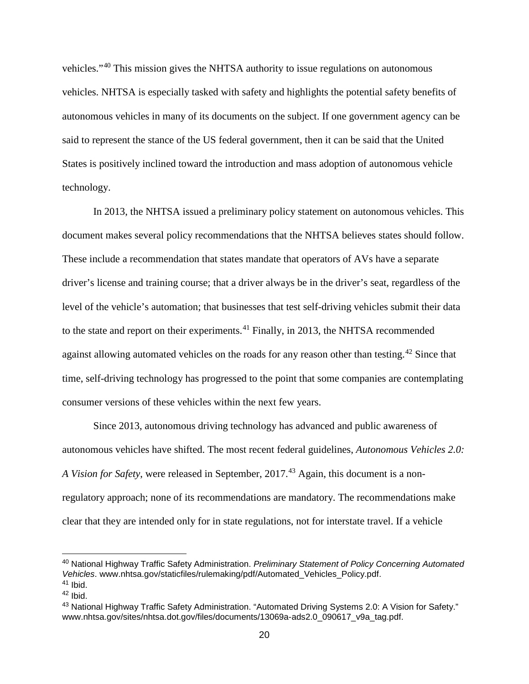vehicles."[40](#page-26-0) This mission gives the NHTSA authority to issue regulations on autonomous vehicles. NHTSA is especially tasked with safety and highlights the potential safety benefits of autonomous vehicles in many of its documents on the subject. If one government agency can be said to represent the stance of the US federal government, then it can be said that the United States is positively inclined toward the introduction and mass adoption of autonomous vehicle technology.

In 2013, the NHTSA issued a preliminary policy statement on autonomous vehicles. This document makes several policy recommendations that the NHTSA believes states should follow. These include a recommendation that states mandate that operators of AVs have a separate driver's license and training course; that a driver always be in the driver's seat, regardless of the level of the vehicle's automation; that businesses that test self-driving vehicles submit their data to the state and report on their experiments.<sup>[41](#page-26-1)</sup> Finally, in 2013, the NHTSA recommended against allowing automated vehicles on the roads for any reason other than testing.<sup>[42](#page-26-2)</sup> Since that time, self-driving technology has progressed to the point that some companies are contemplating consumer versions of these vehicles within the next few years.

Since 2013, autonomous driving technology has advanced and public awareness of autonomous vehicles have shifted. The most recent federal guidelines, *Autonomous Vehicles 2.0: A Vision for Safety*, were released in September, 2017.<sup>[43](#page-26-3)</sup> Again, this document is a nonregulatory approach; none of its recommendations are mandatory. The recommendations make clear that they are intended only for in state regulations, not for interstate travel. If a vehicle

<span id="page-26-0"></span> <sup>40</sup> National Highway Traffic Safety Administration. *Preliminary Statement of Policy Concerning Automated Vehicles*. www.nhtsa.gov/staticfiles/rulemaking/pdf/Automated\_Vehicles\_Policy.pdf.  $41$  Ibid.

<span id="page-26-2"></span><span id="page-26-1"></span> $42$  Ibid.

<span id="page-26-3"></span><sup>43</sup> National Highway Traffic Safety Administration. "Automated Driving Systems 2.0: A Vision for Safety." www.nhtsa.gov/sites/nhtsa.dot.gov/files/documents/13069a-ads2.0\_090617\_v9a\_tag.pdf.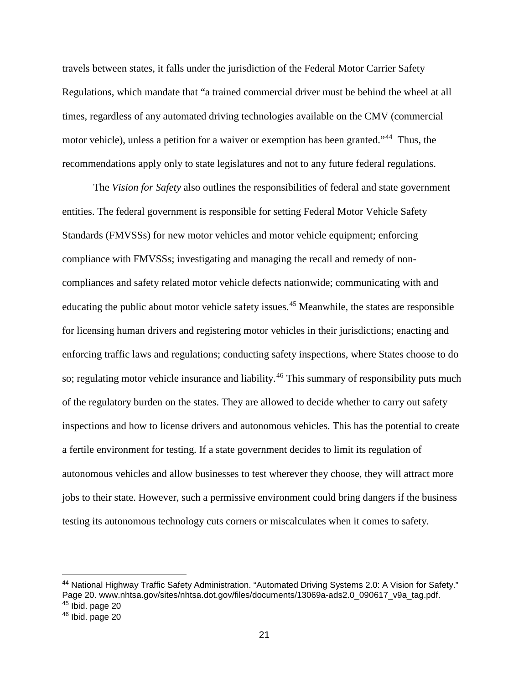travels between states, it falls under the jurisdiction of the Federal Motor Carrier Safety Regulations, which mandate that "a trained commercial driver must be behind the wheel at all times, regardless of any automated driving technologies available on the CMV (commercial motor vehicle), unless a petition for a waiver or exemption has been granted."<sup>[44](#page-27-0)</sup> Thus, the recommendations apply only to state legislatures and not to any future federal regulations.

The *Vision for Safety* also outlines the responsibilities of federal and state government entities. The federal government is responsible for setting Federal Motor Vehicle Safety Standards (FMVSSs) for new motor vehicles and motor vehicle equipment; enforcing compliance with FMVSSs; investigating and managing the recall and remedy of noncompliances and safety related motor vehicle defects nationwide; communicating with and educating the public about motor vehicle safety issues.<sup>[45](#page-27-1)</sup> Meanwhile, the states are responsible for licensing human drivers and registering motor vehicles in their jurisdictions; enacting and enforcing traffic laws and regulations; conducting safety inspections, where States choose to do so; regulating motor vehicle insurance and liability.<sup>[46](#page-27-2)</sup> This summary of responsibility puts much of the regulatory burden on the states. They are allowed to decide whether to carry out safety inspections and how to license drivers and autonomous vehicles. This has the potential to create a fertile environment for testing. If a state government decides to limit its regulation of autonomous vehicles and allow businesses to test wherever they choose, they will attract more jobs to their state. However, such a permissive environment could bring dangers if the business testing its autonomous technology cuts corners or miscalculates when it comes to safety.

<span id="page-27-2"></span><span id="page-27-1"></span><span id="page-27-0"></span><sup>44</sup> National Highway Traffic Safety Administration. "Automated Driving Systems 2.0: A Vision for Safety." Page 20. www.nhtsa.gov/sites/nhtsa.dot.gov/files/documents/13069a-ads2.0\_090617\_v9a\_tag.pdf.  $45$  Ibid. page 20  $46$  Ibid. page 20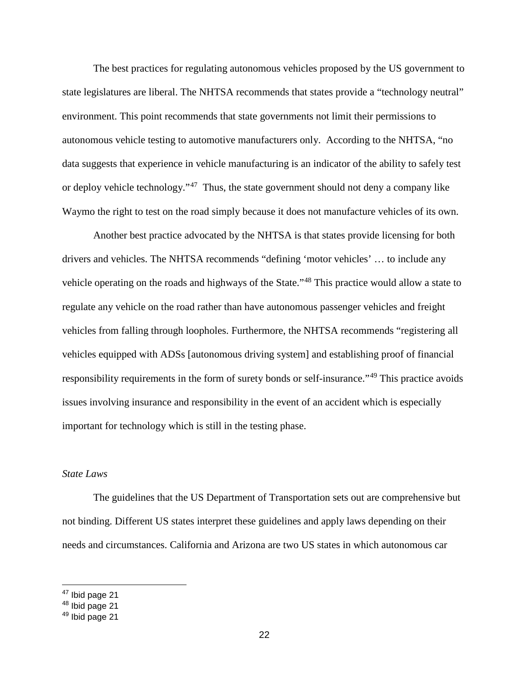The best practices for regulating autonomous vehicles proposed by the US government to state legislatures are liberal. The NHTSA recommends that states provide a "technology neutral" environment. This point recommends that state governments not limit their permissions to autonomous vehicle testing to automotive manufacturers only. According to the NHTSA, "no data suggests that experience in vehicle manufacturing is an indicator of the ability to safely test or deploy vehicle technology."[47](#page-28-0) Thus, the state government should not deny a company like Waymo the right to test on the road simply because it does not manufacture vehicles of its own.

Another best practice advocated by the NHTSA is that states provide licensing for both drivers and vehicles. The NHTSA recommends "defining 'motor vehicles' … to include any vehicle operating on the roads and highways of the State."<sup>[48](#page-28-1)</sup> This practice would allow a state to regulate any vehicle on the road rather than have autonomous passenger vehicles and freight vehicles from falling through loopholes. Furthermore, the NHTSA recommends "registering all vehicles equipped with ADSs [autonomous driving system] and establishing proof of financial responsibility requirements in the form of surety bonds or self-insurance."[49](#page-28-2) This practice avoids issues involving insurance and responsibility in the event of an accident which is especially important for technology which is still in the testing phase.

#### *State Laws*

The guidelines that the US Department of Transportation sets out are comprehensive but not binding. Different US states interpret these guidelines and apply laws depending on their needs and circumstances. California and Arizona are two US states in which autonomous car

<span id="page-28-0"></span> <sup>47</sup> Ibid page 21

<span id="page-28-1"></span><sup>48</sup> Ibid page 21

<span id="page-28-2"></span><sup>49</sup> Ibid page 21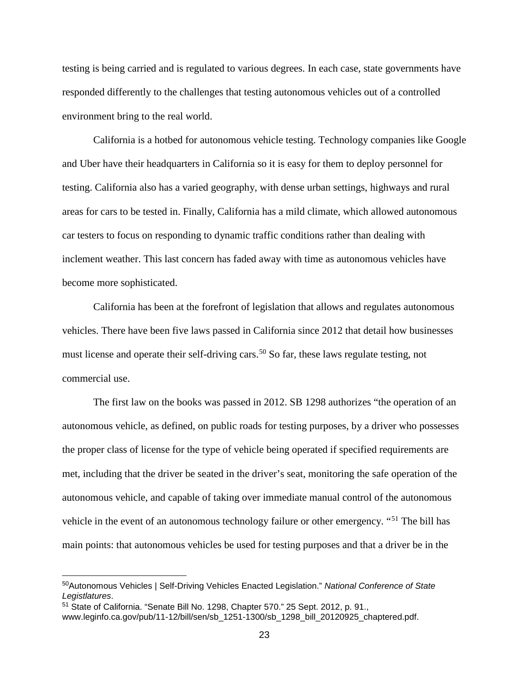testing is being carried and is regulated to various degrees. In each case, state governments have responded differently to the challenges that testing autonomous vehicles out of a controlled environment bring to the real world.

California is a hotbed for autonomous vehicle testing. Technology companies like Google and Uber have their headquarters in California so it is easy for them to deploy personnel for testing. California also has a varied geography, with dense urban settings, highways and rural areas for cars to be tested in. Finally, California has a mild climate, which allowed autonomous car testers to focus on responding to dynamic traffic conditions rather than dealing with inclement weather. This last concern has faded away with time as autonomous vehicles have become more sophisticated.

California has been at the forefront of legislation that allows and regulates autonomous vehicles. There have been five laws passed in California since 2012 that detail how businesses must license and operate their self-driving cars.<sup>[50](#page-29-0)</sup> So far, these laws regulate testing, not commercial use.

The first law on the books was passed in 2012. SB 1298 authorizes "the operation of an autonomous vehicle, as defined, on public roads for testing purposes, by a driver who possesses the proper class of license for the type of vehicle being operated if specified requirements are met, including that the driver be seated in the driver's seat, monitoring the safe operation of the autonomous vehicle, and capable of taking over immediate manual control of the autonomous vehicle in the event of an autonomous technology failure or other emergency. "[51](#page-29-1) The bill has main points: that autonomous vehicles be used for testing purposes and that a driver be in the

<span id="page-29-0"></span> <sup>50</sup>Autonomous Vehicles | Self-Driving Vehicles Enacted Legislation." *National Conference of State Legistlatures*.

<span id="page-29-1"></span><sup>51</sup> State of California. "Senate Bill No. 1298, Chapter 570." 25 Sept. 2012, p. 91.,

www.leginfo.ca.gov/pub/11-12/bill/sen/sb\_1251-1300/sb\_1298\_bill\_20120925\_chaptered.pdf.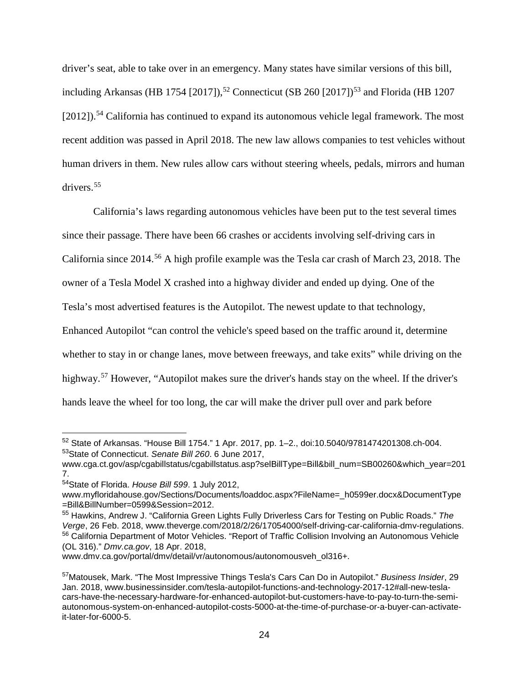driver's seat, able to take over in an emergency. Many states have similar versions of this bill, including Arkansas (HB 1754 [2017]),<sup>[52](#page-30-0)</sup> Connecticut (SB 260 [2017])<sup>[53](#page-30-1)</sup> and Florida (HB 1207  $[2012]$ .<sup>[54](#page-30-2)</sup> California has continued to expand its autonomous vehicle legal framework. The most recent addition was passed in April 2018. The new law allows companies to test vehicles without human drivers in them. New rules allow cars without steering wheels, pedals, mirrors and human drivers.[55](#page-30-3)

California's laws regarding autonomous vehicles have been put to the test several times since their passage. There have been 66 crashes or accidents involving self-driving cars in California since 2014.[56](#page-30-4) A high profile example was the Tesla car crash of March 23, 2018. The owner of a Tesla Model X crashed into a highway divider and ended up dying. One of the Tesla's most advertised features is the Autopilot. The newest update to that technology, Enhanced Autopilot "can control the vehicle's speed based on the traffic around it, determine whether to stay in or change lanes, move between freeways, and take exits" while driving on the highway.<sup>[57](#page-30-5)</sup> However, "Autopilot makes sure the driver's hands stay on the wheel. If the driver's hands leave the wheel for too long, the car will make the driver pull over and park before

<span id="page-30-0"></span> <sup>52</sup> State of Arkansas. "House Bill 1754." 1 Apr. 2017, pp. 1–2., doi:10.5040/9781474201308.ch-004. 53State of Connecticut. *Senate Bill 260*. 6 June 2017,

<span id="page-30-1"></span>www.cga.ct.gov/asp/cgabillstatus/cgabillstatus.asp?selBillType=Bill&bill\_num=SB00260&which\_year=201 7.

<span id="page-30-2"></span><sup>54</sup>State of Florida. *House Bill 599*. 1 July 2012,

www.myfloridahouse.gov/Sections/Documents/loaddoc.aspx?FileName=\_h0599er.docx&DocumentType =Bill&BillNumber=0599&Session=2012.

<span id="page-30-3"></span><sup>55</sup> Hawkins, Andrew J. "California Green Lights Fully Driverless Cars for Testing on Public Roads." *The Verge*, 26 Feb. 2018, www.theverge.com/2018/2/26/17054000/self-driving-car-california-dmv-regulations. <sup>56</sup> California Department of Motor Vehicles. "Report of Traffic Collision Involving an Autonomous Vehicle (OL 316)." *Dmv.ca.gov*, 18 Apr. 2018,

<span id="page-30-4"></span>www.dmv.ca.gov/portal/dmv/detail/vr/autonomous/autonomousveh\_ol316+.

<span id="page-30-5"></span><sup>57</sup>Matousek, Mark. "The Most Impressive Things Tesla's Cars Can Do in Autopilot." *Business Insider*, 29 Jan. 2018, www.businessinsider.com/tesla-autopilot-functions-and-technology-2017-12#all-new-teslacars-have-the-necessary-hardware-for-enhanced-autopilot-but-customers-have-to-pay-to-turn-the-semiautonomous-system-on-enhanced-autopilot-costs-5000-at-the-time-of-purchase-or-a-buyer-can-activateit-later-for-6000-5.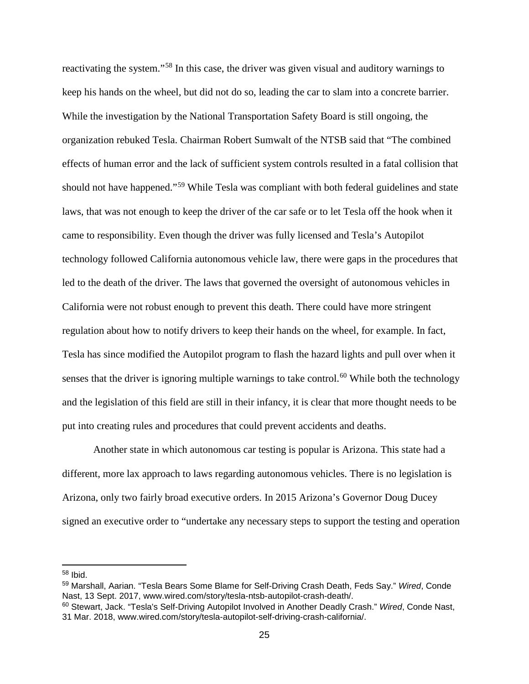reactivating the system."[58](#page-31-0) In this case, the driver was given visual and auditory warnings to keep his hands on the wheel, but did not do so, leading the car to slam into a concrete barrier. While the investigation by the National Transportation Safety Board is still ongoing, the organization rebuked Tesla. Chairman Robert Sumwalt of the NTSB said that "The combined effects of human error and the lack of sufficient system controls resulted in a fatal collision that should not have happened."[59](#page-31-1) While Tesla was compliant with both federal guidelines and state laws, that was not enough to keep the driver of the car safe or to let Tesla off the hook when it came to responsibility. Even though the driver was fully licensed and Tesla's Autopilot technology followed California autonomous vehicle law, there were gaps in the procedures that led to the death of the driver. The laws that governed the oversight of autonomous vehicles in California were not robust enough to prevent this death. There could have more stringent regulation about how to notify drivers to keep their hands on the wheel, for example. In fact, Tesla has since modified the Autopilot program to flash the hazard lights and pull over when it senses that the driver is ignoring multiple warnings to take control.<sup>[60](#page-31-2)</sup> While both the technology and the legislation of this field are still in their infancy, it is clear that more thought needs to be put into creating rules and procedures that could prevent accidents and deaths.

Another state in which autonomous car testing is popular is Arizona. This state had a different, more lax approach to laws regarding autonomous vehicles. There is no legislation is Arizona, only two fairly broad executive orders. In 2015 Arizona's Governor Doug Ducey signed an executive order to "undertake any necessary steps to support the testing and operation

<span id="page-31-0"></span> <sup>58</sup> Ibid.

<span id="page-31-1"></span><sup>59</sup> Marshall, Aarian. "Tesla Bears Some Blame for Self-Driving Crash Death, Feds Say." *Wired*, Conde Nast, 13 Sept. 2017, www.wired.com/story/tesla-ntsb-autopilot-crash-death/.

<span id="page-31-2"></span><sup>60</sup> Stewart, Jack. "Tesla's Self-Driving Autopilot Involved in Another Deadly Crash." *Wired*, Conde Nast, 31 Mar. 2018, www.wired.com/story/tesla-autopilot-self-driving-crash-california/.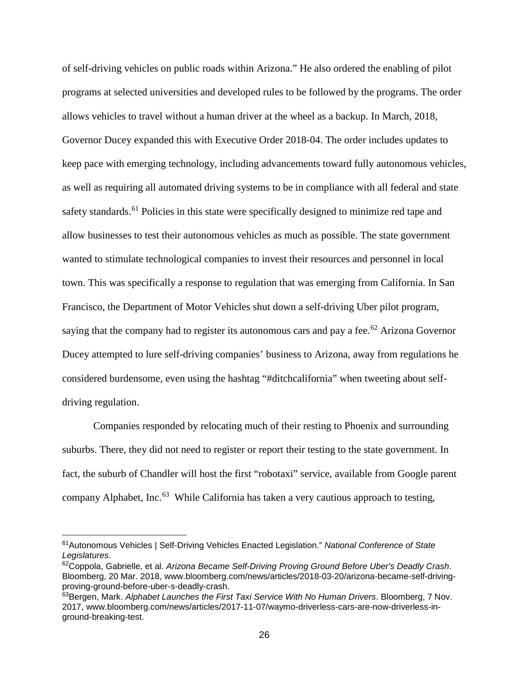of self-driving vehicles on public roads within Arizona." He also ordered the enabling of pilot programs at selected universities and developed rules to be followed by the programs. The order allows vehicles to travel without a human driver at the wheel as a backup. In March, 2018, Governor Ducey expanded this with Executive Order 2018-04. The order includes updates to keep pace with emerging technology, including advancements toward fully autonomous vehicles, as well as requiring all automated driving systems to be in compliance with all federal and state safety standards.<sup>[61](#page-32-0)</sup> Policies in this state were specifically designed to minimize red tape and allow businesses to test their autonomous vehicles as much as possible. The state government wanted to stimulate technological companies to invest their resources and personnel in local town. This was specifically a response to regulation that was emerging from California. In San Francisco, the Department of Motor Vehicles shut down a self-driving Uber pilot program, saying that the company had to register its autonomous cars and pay a fee.<sup>[62](#page-32-1)</sup> Arizona Governor Ducey attempted to lure self-driving companies' business to Arizona, away from regulations he considered burdensome, even using the hashtag "#ditchcalifornia" when tweeting about selfdriving regulation.

Companies responded by relocating much of their resting to Phoenix and surrounding suburbs. There, they did not need to register or report their testing to the state government. In fact, the suburb of Chandler will host the first "robotaxi" service, available from Google parent company Alphabet, Inc.<sup>63</sup> While California has taken a very cautious approach to testing,

<span id="page-32-0"></span> <sup>61</sup>Autonomous Vehicles | Self-Driving Vehicles Enacted Legislation." *National Conference of State Legislatures*.

<span id="page-32-1"></span><sup>62</sup>Coppola, Gabrielle, et al. *Arizona Became Self-Driving Proving Ground Before Uber's Deadly Crash*. Bloomberg, 20 Mar. 2018, www.bloomberg.com/news/articles/2018-03-20/arizona-became-self-drivingproving-ground-before-uber-s-deadly-crash.

<span id="page-32-2"></span><sup>63</sup>Bergen, Mark. *Alphabet Launches the First Taxi Service With No Human Drivers*. Bloomberg, 7 Nov. 2017, www.bloomberg.com/news/articles/2017-11-07/waymo-driverless-cars-are-now-driverless-inground-breaking-test.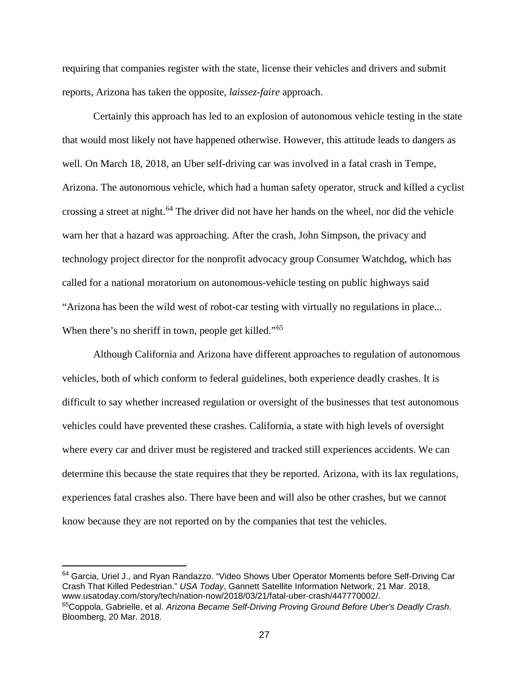requiring that companies register with the state, license their vehicles and drivers and submit reports, Arizona has taken the opposite, *laissez-faire* approach.

Certainly this approach has led to an explosion of autonomous vehicle testing in the state that would most likely not have happened otherwise. However, this attitude leads to dangers as well. On March 18, 2018, an Uber self-driving car was involved in a fatal crash in Tempe, Arizona. The autonomous vehicle, which had a human safety operator, struck and killed a cyclist crossing a street at night.<sup>[64](#page-33-0)</sup> The driver did not have her hands on the wheel, nor did the vehicle warn her that a hazard was approaching. After the crash, John Simpson, the privacy and technology project director for the nonprofit advocacy group Consumer Watchdog, which has called for a national moratorium on autonomous-vehicle testing on public highways said "Arizona has been the wild west of robot-car testing with virtually no regulations in place... When there's no sheriff in town, people get killed."<sup>[65](#page-33-1)</sup>

Although California and Arizona have different approaches to regulation of autonomous vehicles, both of which conform to federal guidelines, both experience deadly crashes. It is difficult to say whether increased regulation or oversight of the businesses that test autonomous vehicles could have prevented these crashes. California, a state with high levels of oversight where every car and driver must be registered and tracked still experiences accidents. We can determine this because the state requires that they be reported. Arizona, with its lax regulations, experiences fatal crashes also. There have been and will also be other crashes, but we cannot know because they are not reported on by the companies that test the vehicles.

<span id="page-33-0"></span><sup>64</sup> Garcia, Uriel J., and Ryan Randazzo. "Video Shows Uber Operator Moments before Self-Driving Car Crash That Killed Pedestrian." *USA Today*, Gannett Satellite Information Network, 21 Mar. 2018, www.usatoday.com/story/tech/nation-now/2018/03/21/fatal-uber-crash/447770002/.

<span id="page-33-1"></span><sup>65</sup>Coppola, Gabrielle, et al. *Arizona Became Self-Driving Proving Ground Before Uber's Deadly Crash*. Bloomberg, 20 Mar. 2018.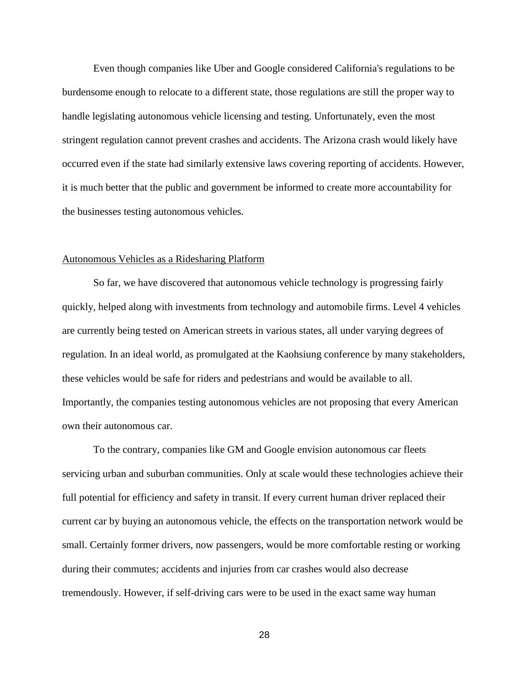Even though companies like Uber and Google considered California's regulations to be burdensome enough to relocate to a different state, those regulations are still the proper way to handle legislating autonomous vehicle licensing and testing. Unfortunately, even the most stringent regulation cannot prevent crashes and accidents. The Arizona crash would likely have occurred even if the state had similarly extensive laws covering reporting of accidents. However, it is much better that the public and government be informed to create more accountability for the businesses testing autonomous vehicles.

#### Autonomous Vehicles as a Ridesharing Platform

So far, we have discovered that autonomous vehicle technology is progressing fairly quickly, helped along with investments from technology and automobile firms. Level 4 vehicles are currently being tested on American streets in various states, all under varying degrees of regulation. In an ideal world, as promulgated at the Kaohsiung conference by many stakeholders, these vehicles would be safe for riders and pedestrians and would be available to all. Importantly, the companies testing autonomous vehicles are not proposing that every American own their autonomous car.

To the contrary, companies like GM and Google envision autonomous car fleets servicing urban and suburban communities. Only at scale would these technologies achieve their full potential for efficiency and safety in transit. If every current human driver replaced their current car by buying an autonomous vehicle, the effects on the transportation network would be small. Certainly former drivers, now passengers, would be more comfortable resting or working during their commutes; accidents and injuries from car crashes would also decrease tremendously. However, if self-driving cars were to be used in the exact same way human

28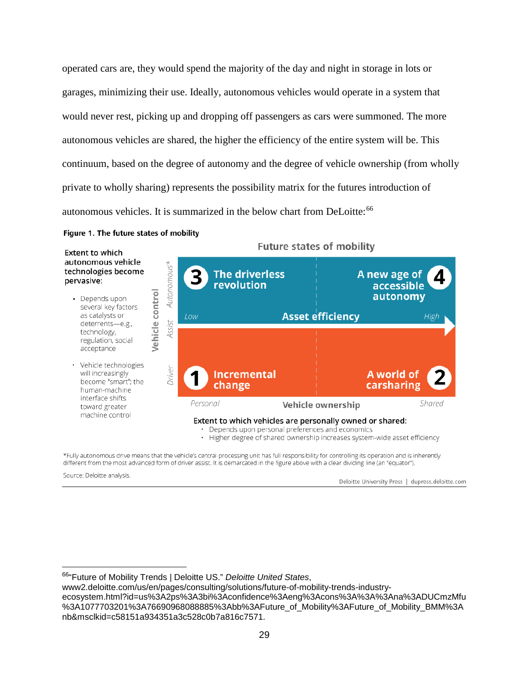operated cars are, they would spend the majority of the day and night in storage in lots or garages, minimizing their use. Ideally, autonomous vehicles would operate in a system that would never rest, picking up and dropping off passengers as cars were summoned. The more autonomous vehicles are shared, the higher the efficiency of the entire system will be. This continuum, based on the degree of autonomy and the degree of vehicle ownership (from wholly private to wholly sharing) represents the possibility matrix for the futures introduction of autonomous vehicles. It is summarized in the below chart from DeLoitte:<sup>[66](#page-35-0)</sup>

#### Figure 1. The future states of mobility

| <b>Extent to which</b><br>autonomous vehicle<br>technologies become<br>pervasive:                                                            |                | Future states of mobility |                                     |                                                                                                             |                                                                          |  |
|----------------------------------------------------------------------------------------------------------------------------------------------|----------------|---------------------------|-------------------------------------|-------------------------------------------------------------------------------------------------------------|--------------------------------------------------------------------------|--|
|                                                                                                                                              |                | Autonomous*               | <b>The driverless</b><br>revolution |                                                                                                             | A new age of<br>accessible                                               |  |
| Depends upon<br>several key factors<br>as catalysts or<br>deterrents-e.g.,                                                                   | control        |                           | Low                                 | <b>Asset efficiency</b>                                                                                     | autonomy<br>High                                                         |  |
| technology,<br>regulation, social<br>acceptance                                                                                              | <b>Jehicle</b> | Assist                    |                                     |                                                                                                             |                                                                          |  |
| · Vehicle technologies<br>will increasingly<br>become "smart"; the<br>human-machine<br>interface shifts<br>toward greater<br>machine control |                | Driver                    | <b>Incremental</b><br>change        |                                                                                                             | A world of<br>carsharing                                                 |  |
|                                                                                                                                              |                |                           | Personal                            | Vehicle ownership                                                                                           | Shared                                                                   |  |
|                                                                                                                                              |                |                           |                                     | Extent to which vehicles are personally owned or shared:<br>Depends upon personal preferences and economics | Higher degree of shared ownership increases system-wide asset efficiency |  |

**Future states of mobility** 

\*Fully autonomous drive means that the vehicle's central processing unit has full responsibility for controlling its operation and is inherently different from the most advanced form of driver assist. It is demarcated in the figure above with a clear dividing line (an "equator").

Source: Deloitte analysis.

Deloitte University Press | dupress.deloitte.com

www2.deloitte.com/us/en/pages/consulting/solutions/future-of-mobility-trends-industryecosystem.html?id=us%3A2ps%3A3bi%3Aconfidence%3Aeng%3Acons%3A%3A%3Ana%3ADUCmzMfu %3A1077703201%3A76690968088885%3Abb%3AFuture\_of\_Mobility%3AFuture\_of\_Mobility\_BMM%3A nb&msclkid=c58151a934351a3c528c0b7a816c7571.

<span id="page-35-0"></span> <sup>66&</sup>quot;Future of Mobility Trends | Deloitte US." *Deloitte United States*,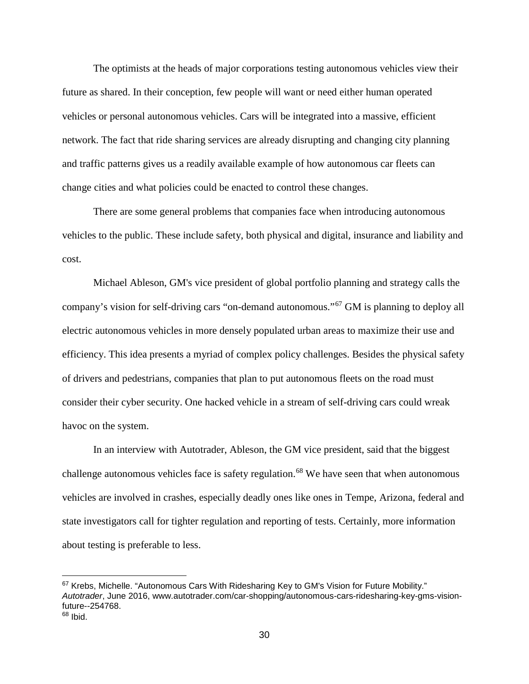The optimists at the heads of major corporations testing autonomous vehicles view their future as shared. In their conception, few people will want or need either human operated vehicles or personal autonomous vehicles. Cars will be integrated into a massive, efficient network. The fact that ride sharing services are already disrupting and changing city planning and traffic patterns gives us a readily available example of how autonomous car fleets can change cities and what policies could be enacted to control these changes.

There are some general problems that companies face when introducing autonomous vehicles to the public. These include safety, both physical and digital, insurance and liability and cost.

Michael Ableson, GM's vice president of global portfolio planning and strategy calls the company's vision for self-driving cars "on-demand autonomous."[67](#page-36-0) GM is planning to deploy all electric autonomous vehicles in more densely populated urban areas to maximize their use and efficiency. This idea presents a myriad of complex policy challenges. Besides the physical safety of drivers and pedestrians, companies that plan to put autonomous fleets on the road must consider their cyber security. One hacked vehicle in a stream of self-driving cars could wreak havoc on the system.

In an interview with Autotrader, Ableson, the GM vice president, said that the biggest challenge autonomous vehicles face is safety regulation.<sup>[68](#page-36-1)</sup> We have seen that when autonomous vehicles are involved in crashes, especially deadly ones like ones in Tempe, Arizona, federal and state investigators call for tighter regulation and reporting of tests. Certainly, more information about testing is preferable to less.

<span id="page-36-0"></span><sup>&</sup>lt;sup>67</sup> Krebs, Michelle. "Autonomous Cars With Ridesharing Key to GM's Vision for Future Mobility." *Autotrader*, June 2016, www.autotrader.com/car-shopping/autonomous-cars-ridesharing-key-gms-visionfuture--254768.

<span id="page-36-1"></span> $68$  Ibid.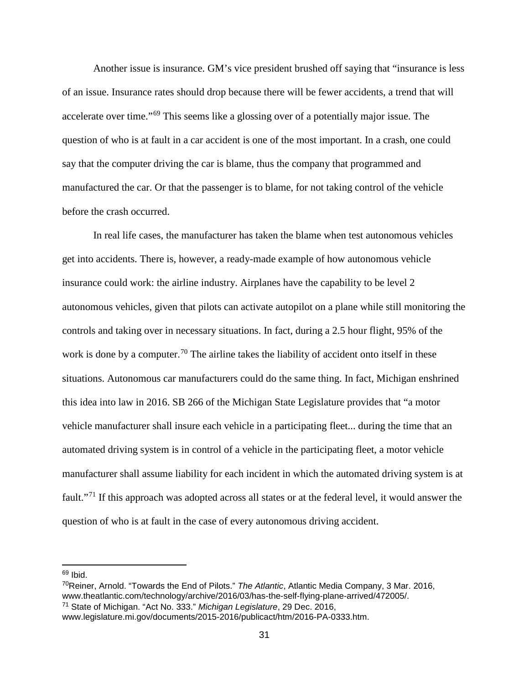Another issue is insurance. GM's vice president brushed off saying that "insurance is less of an issue. Insurance rates should drop because there will be fewer accidents, a trend that will accelerate over time."[69](#page-37-0) This seems like a glossing over of a potentially major issue. The question of who is at fault in a car accident is one of the most important. In a crash, one could say that the computer driving the car is blame, thus the company that programmed and manufactured the car. Or that the passenger is to blame, for not taking control of the vehicle before the crash occurred.

In real life cases, the manufacturer has taken the blame when test autonomous vehicles get into accidents. There is, however, a ready-made example of how autonomous vehicle insurance could work: the airline industry. Airplanes have the capability to be level 2 autonomous vehicles, given that pilots can activate autopilot on a plane while still monitoring the controls and taking over in necessary situations. In fact, during a 2.5 hour flight, 95% of the work is done by a computer.<sup>[70](#page-37-1)</sup> The airline takes the liability of accident onto itself in these situations. Autonomous car manufacturers could do the same thing. In fact, Michigan enshrined this idea into law in 2016. SB 266 of the Michigan State Legislature provides that "a motor vehicle manufacturer shall insure each vehicle in a participating fleet... during the time that an automated driving system is in control of a vehicle in the participating fleet, a motor vehicle manufacturer shall assume liability for each incident in which the automated driving system is at fault."[71](#page-37-2) If this approach was adopted across all states or at the federal level, it would answer the question of who is at fault in the case of every autonomous driving accident.

<span id="page-37-0"></span> $69$  Ibid.

<span id="page-37-1"></span><sup>70</sup>Reiner, Arnold. "Towards the End of Pilots." *The Atlantic*, Atlantic Media Company, 3 Mar. 2016, www.theatlantic.com/technology/archive/2016/03/has-the-self-flying-plane-arrived/472005/. <sup>71</sup> State of Michigan. "Act No. 333." *Michigan Legislature*, 29 Dec. 2016,

<span id="page-37-2"></span>www.legislature.mi.gov/documents/2015-2016/publicact/htm/2016-PA-0333.htm.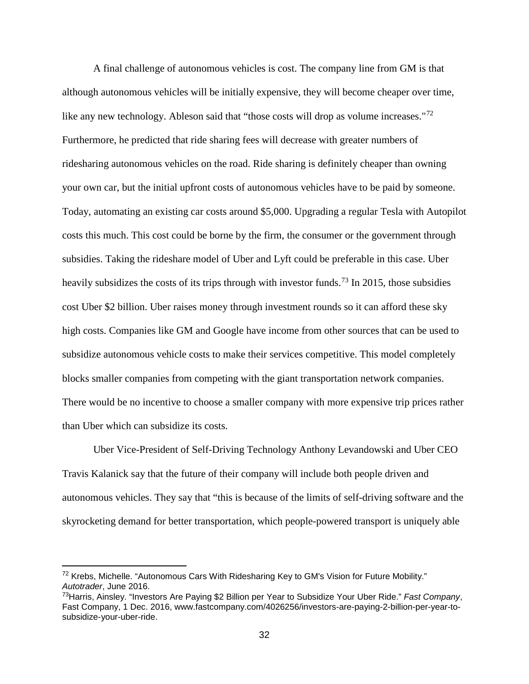A final challenge of autonomous vehicles is cost. The company line from GM is that although autonomous vehicles will be initially expensive, they will become cheaper over time, like any new technology. Ableson said that "those costs will drop as volume increases."<sup>[72](#page-38-0)</sup> Furthermore, he predicted that ride sharing fees will decrease with greater numbers of ridesharing autonomous vehicles on the road. Ride sharing is definitely cheaper than owning your own car, but the initial upfront costs of autonomous vehicles have to be paid by someone. Today, automating an existing car costs around \$5,000. Upgrading a regular Tesla with Autopilot costs this much. This cost could be borne by the firm, the consumer or the government through subsidies. Taking the rideshare model of Uber and Lyft could be preferable in this case. Uber heavily subsidizes the costs of its trips through with investor funds.<sup>[73](#page-38-1)</sup> In 2015, those subsidies cost Uber \$2 billion. Uber raises money through investment rounds so it can afford these sky high costs. Companies like GM and Google have income from other sources that can be used to subsidize autonomous vehicle costs to make their services competitive. This model completely blocks smaller companies from competing with the giant transportation network companies. There would be no incentive to choose a smaller company with more expensive trip prices rather than Uber which can subsidize its costs.

Uber Vice-President of Self-Driving Technology Anthony Levandowski and Uber CEO Travis Kalanick say that the future of their company will include both people driven and autonomous vehicles. They say that "this is because of the limits of self-driving software and the skyrocketing demand for better transportation, which people-powered transport is uniquely able

<span id="page-38-0"></span> <sup>72</sup> Krebs, Michelle. "Autonomous Cars With Ridesharing Key to GM's Vision for Future Mobility." *Autotrader*, June 2016.

<span id="page-38-1"></span><sup>73</sup>Harris, Ainsley. "Investors Are Paying \$2 Billion per Year to Subsidize Your Uber Ride." *Fast Company*, Fast Company, 1 Dec. 2016, www.fastcompany.com/4026256/investors-are-paying-2-billion-per-year-tosubsidize-your-uber-ride.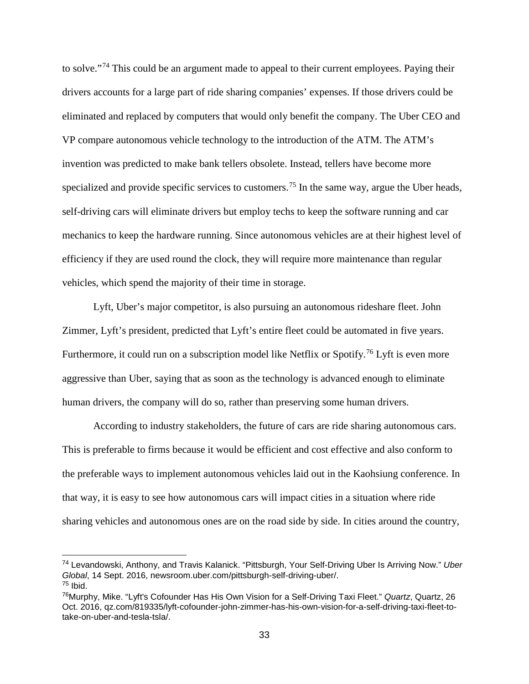to solve."[74](#page-39-0) This could be an argument made to appeal to their current employees. Paying their drivers accounts for a large part of ride sharing companies' expenses. If those drivers could be eliminated and replaced by computers that would only benefit the company. The Uber CEO and VP compare autonomous vehicle technology to the introduction of the ATM. The ATM's invention was predicted to make bank tellers obsolete. Instead, tellers have become more specialized and provide specific services to customers.<sup>[75](#page-39-1)</sup> In the same way, argue the Uber heads, self-driving cars will eliminate drivers but employ techs to keep the software running and car mechanics to keep the hardware running. Since autonomous vehicles are at their highest level of efficiency if they are used round the clock, they will require more maintenance than regular vehicles, which spend the majority of their time in storage.

Lyft, Uber's major competitor, is also pursuing an autonomous rideshare fleet. John Zimmer, Lyft's president, predicted that Lyft's entire fleet could be automated in five years. Furthermore, it could run on a subscription model like Netflix or Spotify.<sup>[76](#page-39-2)</sup> Lyft is even more aggressive than Uber, saying that as soon as the technology is advanced enough to eliminate human drivers, the company will do so, rather than preserving some human drivers.

According to industry stakeholders, the future of cars are ride sharing autonomous cars. This is preferable to firms because it would be efficient and cost effective and also conform to the preferable ways to implement autonomous vehicles laid out in the Kaohsiung conference. In that way, it is easy to see how autonomous cars will impact cities in a situation where ride sharing vehicles and autonomous ones are on the road side by side. In cities around the country,

<span id="page-39-0"></span> <sup>74</sup> Levandowski, Anthony, and Travis Kalanick. "Pittsburgh, Your Self-Driving Uber Is Arriving Now." *Uber Global*, 14 Sept. 2016, newsroom.uber.com/pittsburgh-self-driving-uber/.  $75$  Ibid.

<span id="page-39-2"></span><span id="page-39-1"></span><sup>76</sup>Murphy, Mike. "Lyft's Cofounder Has His Own Vision for a Self-Driving Taxi Fleet." *Quartz*, Quartz, 26 Oct. 2016, qz.com/819335/lyft-cofounder-john-zimmer-has-his-own-vision-for-a-self-driving-taxi-fleet-totake-on-uber-and-tesla-tsla/.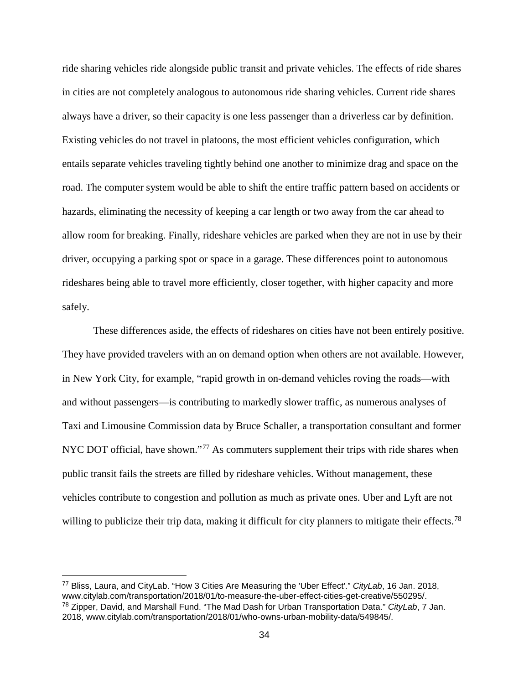ride sharing vehicles ride alongside public transit and private vehicles. The effects of ride shares in cities are not completely analogous to autonomous ride sharing vehicles. Current ride shares always have a driver, so their capacity is one less passenger than a driverless car by definition. Existing vehicles do not travel in platoons, the most efficient vehicles configuration, which entails separate vehicles traveling tightly behind one another to minimize drag and space on the road. The computer system would be able to shift the entire traffic pattern based on accidents or hazards, eliminating the necessity of keeping a car length or two away from the car ahead to allow room for breaking. Finally, rideshare vehicles are parked when they are not in use by their driver, occupying a parking spot or space in a garage. These differences point to autonomous rideshares being able to travel more efficiently, closer together, with higher capacity and more safely.

These differences aside, the effects of rideshares on cities have not been entirely positive. They have provided travelers with an on demand option when others are not available. However, in New York City, for example, "rapid growth in on-demand vehicles roving the roads—with and without passengers—is contributing to markedly slower traffic, as numerous analyses of Taxi and Limousine Commission data by Bruce Schaller, a transportation consultant and former NYC DOT official, have shown."<sup>[77](#page-40-0)</sup> As commuters supplement their trips with ride shares when public transit fails the streets are filled by rideshare vehicles. Without management, these vehicles contribute to congestion and pollution as much as private ones. Uber and Lyft are not willing to publicize their trip data, making it difficult for city planners to mitigate their effects.<sup>[78](#page-40-1)</sup>

<span id="page-40-1"></span><span id="page-40-0"></span> <sup>77</sup> Bliss, Laura, and CityLab. "How 3 Cities Are Measuring the 'Uber Effect'." *CityLab*, 16 Jan. 2018, www.citylab.com/transportation/2018/01/to-measure-the-uber-effect-cities-get-creative/550295/. <sup>78</sup> Zipper, David, and Marshall Fund. "The Mad Dash for Urban Transportation Data." *CityLab*, 7 Jan. 2018, www.citylab.com/transportation/2018/01/who-owns-urban-mobility-data/549845/.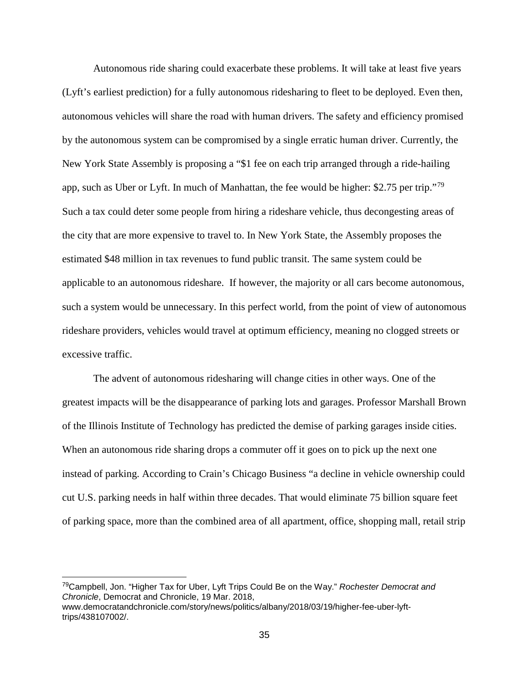Autonomous ride sharing could exacerbate these problems. It will take at least five years (Lyft's earliest prediction) for a fully autonomous ridesharing to fleet to be deployed. Even then, autonomous vehicles will share the road with human drivers. The safety and efficiency promised by the autonomous system can be compromised by a single erratic human driver. Currently, the New York State Assembly is proposing a "\$1 fee on each trip arranged through a ride-hailing app, such as Uber or Lyft. In much of Manhattan, the fee would be higher: \$2.75 per trip."[79](#page-41-0) Such a tax could deter some people from hiring a rideshare vehicle, thus decongesting areas of the city that are more expensive to travel to. In New York State, the Assembly proposes the estimated \$48 million in tax revenues to fund public transit. The same system could be applicable to an autonomous rideshare. If however, the majority or all cars become autonomous, such a system would be unnecessary. In this perfect world, from the point of view of autonomous rideshare providers, vehicles would travel at optimum efficiency, meaning no clogged streets or excessive traffic.

The advent of autonomous ridesharing will change cities in other ways. One of the greatest impacts will be the disappearance of parking lots and garages. Professor Marshall Brown of the Illinois Institute of Technology has predicted the demise of parking garages inside cities. When an autonomous ride sharing drops a commuter off it goes on to pick up the next one instead of parking. According to Crain's Chicago Business "a decline in vehicle ownership could cut U.S. parking needs in half within three decades. That would eliminate 75 billion square feet of parking space, more than the combined area of all apartment, office, shopping mall, retail strip

<span id="page-41-0"></span> <sup>79</sup>Campbell, Jon. "Higher Tax for Uber, Lyft Trips Could Be on the Way." *Rochester Democrat and Chronicle*, Democrat and Chronicle, 19 Mar. 2018, www.democratandchronicle.com/story/news/politics/albany/2018/03/19/higher-fee-uber-lyfttrips/438107002/.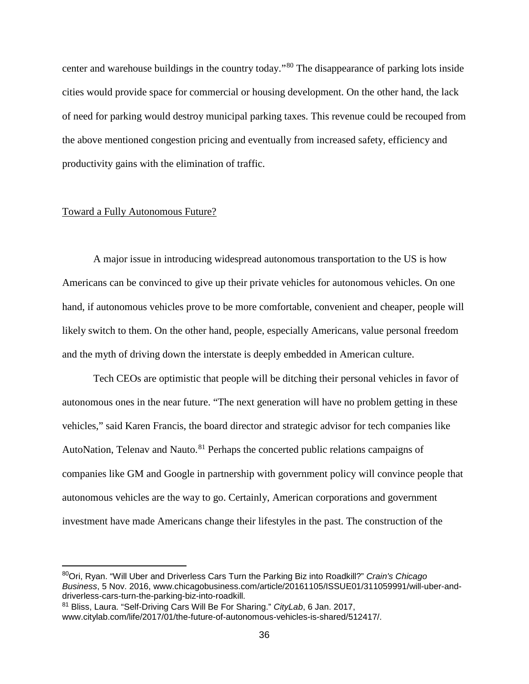center and warehouse buildings in the country today."[80](#page-42-0) The disappearance of parking lots inside cities would provide space for commercial or housing development. On the other hand, the lack of need for parking would destroy municipal parking taxes. This revenue could be recouped from the above mentioned congestion pricing and eventually from increased safety, efficiency and productivity gains with the elimination of traffic.

#### Toward a Fully Autonomous Future?

A major issue in introducing widespread autonomous transportation to the US is how Americans can be convinced to give up their private vehicles for autonomous vehicles. On one hand, if autonomous vehicles prove to be more comfortable, convenient and cheaper, people will likely switch to them. On the other hand, people, especially Americans, value personal freedom and the myth of driving down the interstate is deeply embedded in American culture.

Tech CEOs are optimistic that people will be ditching their personal vehicles in favor of autonomous ones in the near future. "The next generation will have no problem getting in these vehicles," said Karen Francis, the board director and strategic advisor for tech companies like AutoNation, Telenav and Nauto.<sup>[81](#page-42-1)</sup> Perhaps the concerted public relations campaigns of companies like GM and Google in partnership with government policy will convince people that autonomous vehicles are the way to go. Certainly, American corporations and government investment have made Americans change their lifestyles in the past. The construction of the

<span id="page-42-0"></span> <sup>80</sup>Ori, Ryan. "Will Uber and Driverless Cars Turn the Parking Biz into Roadkill?" *Crain's Chicago Business*, 5 Nov. 2016, www.chicagobusiness.com/article/20161105/ISSUE01/311059991/will-uber-anddriverless-cars-turn-the-parking-biz-into-roadkill.

<span id="page-42-1"></span><sup>81</sup> Bliss, Laura. "Self-Driving Cars Will Be For Sharing." *CityLab*, 6 Jan. 2017, www.citylab.com/life/2017/01/the-future-of-autonomous-vehicles-is-shared/512417/.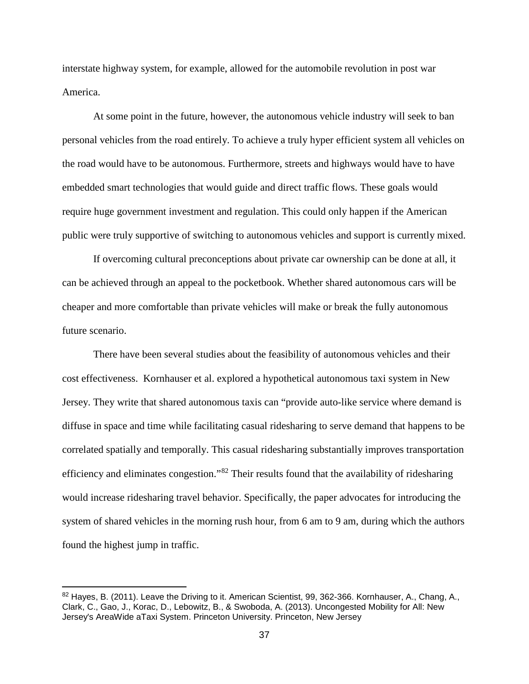interstate highway system, for example, allowed for the automobile revolution in post war America.

At some point in the future, however, the autonomous vehicle industry will seek to ban personal vehicles from the road entirely. To achieve a truly hyper efficient system all vehicles on the road would have to be autonomous. Furthermore, streets and highways would have to have embedded smart technologies that would guide and direct traffic flows. These goals would require huge government investment and regulation. This could only happen if the American public were truly supportive of switching to autonomous vehicles and support is currently mixed.

If overcoming cultural preconceptions about private car ownership can be done at all, it can be achieved through an appeal to the pocketbook. Whether shared autonomous cars will be cheaper and more comfortable than private vehicles will make or break the fully autonomous future scenario.

There have been several studies about the feasibility of autonomous vehicles and their cost effectiveness. Kornhauser et al. explored a hypothetical autonomous taxi system in New Jersey. They write that shared autonomous taxis can "provide auto-like service where demand is diffuse in space and time while facilitating casual ridesharing to serve demand that happens to be correlated spatially and temporally. This casual ridesharing substantially improves transportation efficiency and eliminates congestion."<sup>[82](#page-43-0)</sup> Their results found that the availability of ridesharing would increase ridesharing travel behavior. Specifically, the paper advocates for introducing the system of shared vehicles in the morning rush hour, from 6 am to 9 am, during which the authors found the highest jump in traffic.

<span id="page-43-0"></span> $82$  Hayes, B. (2011). Leave the Driving to it. American Scientist, 99, 362-366. Kornhauser, A., Chang, A., Clark, C., Gao, J., Korac, D., Lebowitz, B., & Swoboda, A. (2013). Uncongested Mobility for All: New Jersey's AreaWide aTaxi System. Princeton University. Princeton, New Jersey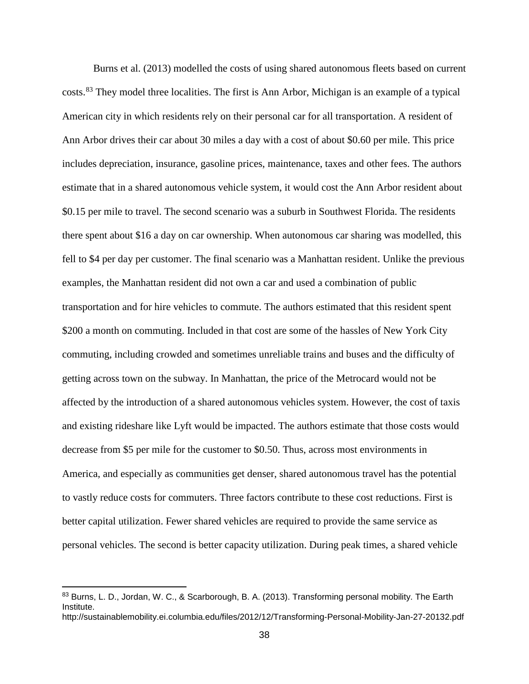Burns et al. (2013) modelled the costs of using shared autonomous fleets based on current costs.[83](#page-44-0) They model three localities. The first is Ann Arbor, Michigan is an example of a typical American city in which residents rely on their personal car for all transportation. A resident of Ann Arbor drives their car about 30 miles a day with a cost of about \$0.60 per mile. This price includes depreciation, insurance, gasoline prices, maintenance, taxes and other fees. The authors estimate that in a shared autonomous vehicle system, it would cost the Ann Arbor resident about \$0.15 per mile to travel. The second scenario was a suburb in Southwest Florida. The residents there spent about \$16 a day on car ownership. When autonomous car sharing was modelled, this fell to \$4 per day per customer. The final scenario was a Manhattan resident. Unlike the previous examples, the Manhattan resident did not own a car and used a combination of public transportation and for hire vehicles to commute. The authors estimated that this resident spent \$200 a month on commuting. Included in that cost are some of the hassles of New York City commuting, including crowded and sometimes unreliable trains and buses and the difficulty of getting across town on the subway. In Manhattan, the price of the Metrocard would not be affected by the introduction of a shared autonomous vehicles system. However, the cost of taxis and existing rideshare like Lyft would be impacted. The authors estimate that those costs would decrease from \$5 per mile for the customer to \$0.50. Thus, across most environments in America, and especially as communities get denser, shared autonomous travel has the potential to vastly reduce costs for commuters. Three factors contribute to these cost reductions. First is better capital utilization. Fewer shared vehicles are required to provide the same service as personal vehicles. The second is better capacity utilization. During peak times, a shared vehicle

<span id="page-44-0"></span><sup>83</sup> Burns, L. D., Jordan, W. C., & Scarborough, B. A. (2013). Transforming personal mobility. The Earth Institute. http://sustainablemobility.ei.columbia.edu/files/2012/12/Transforming-Personal-Mobility-Jan-27-20132.pdf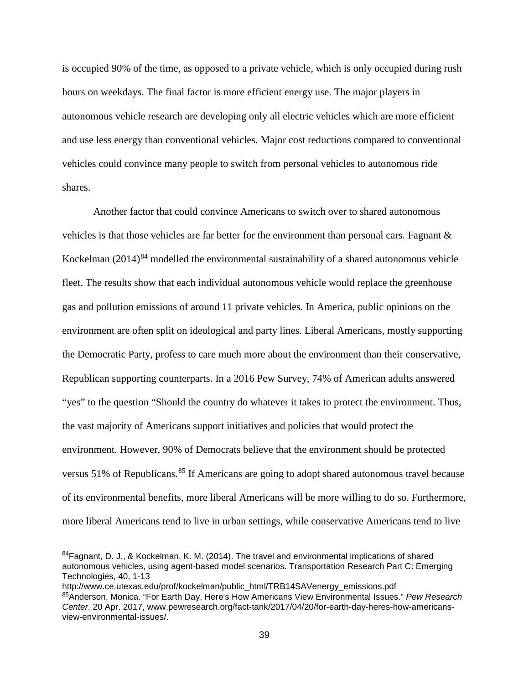is occupied 90% of the time, as opposed to a private vehicle, which is only occupied during rush hours on weekdays. The final factor is more efficient energy use. The major players in autonomous vehicle research are developing only all electric vehicles which are more efficient and use less energy than conventional vehicles. Major cost reductions compared to conventional vehicles could convince many people to switch from personal vehicles to autonomous ride shares.

Another factor that could convince Americans to switch over to shared autonomous vehicles is that those vehicles are far better for the environment than personal cars. Fagnant  $\&$ Kockelman  $(2014)^{84}$  $(2014)^{84}$  $(2014)^{84}$  modelled the environmental sustainability of a shared autonomous vehicle fleet. The results show that each individual autonomous vehicle would replace the greenhouse gas and pollution emissions of around 11 private vehicles. In America, public opinions on the environment are often split on ideological and party lines. Liberal Americans, mostly supporting the Democratic Party, profess to care much more about the environment than their conservative, Republican supporting counterparts. In a 2016 Pew Survey, 74% of American adults answered "yes" to the question "Should the country do whatever it takes to protect the environment. Thus, the vast majority of Americans support initiatives and policies that would protect the environment. However, 90% of Democrats believe that the environment should be protected versus 51% of Republicans.<sup>[85](#page-45-1)</sup> If Americans are going to adopt shared autonomous travel because of its environmental benefits, more liberal Americans will be more willing to do so. Furthermore, more liberal Americans tend to live in urban settings, while conservative Americans tend to live

<span id="page-45-0"></span> $84$ Fagnant, D. J., & Kockelman, K. M. (2014). The travel and environmental implications of shared autonomous vehicles, using agent-based model scenarios. Transportation Research Part C: Emerging Technologies, 40, 1-13

<span id="page-45-1"></span>http://www.ce.utexas.edu/prof/kockelman/public\_html/TRB14SAVenergy\_emissions.pdf 85Anderson, Monica. "For Earth Day, Here's How Americans View Environmental Issues." *Pew Research Center*, 20 Apr. 2017, www.pewresearch.org/fact-tank/2017/04/20/for-earth-day-heres-how-americansview-environmental-issues/.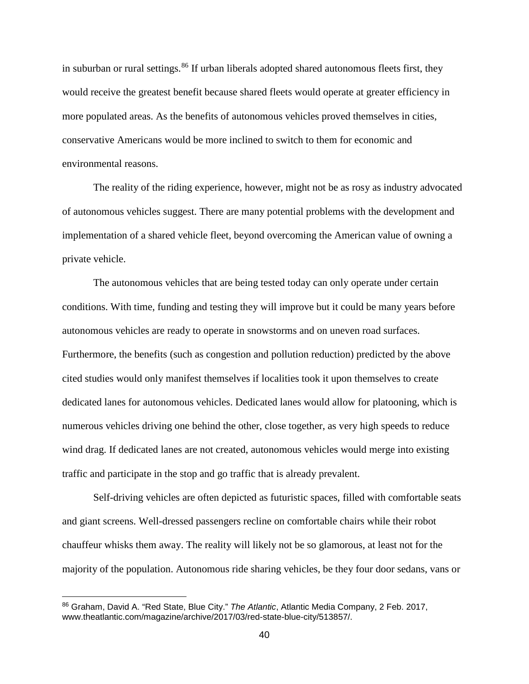in suburban or rural settings.<sup>[86](#page-46-0)</sup> If urban liberals adopted shared autonomous fleets first, they would receive the greatest benefit because shared fleets would operate at greater efficiency in more populated areas. As the benefits of autonomous vehicles proved themselves in cities, conservative Americans would be more inclined to switch to them for economic and environmental reasons.

The reality of the riding experience, however, might not be as rosy as industry advocated of autonomous vehicles suggest. There are many potential problems with the development and implementation of a shared vehicle fleet, beyond overcoming the American value of owning a private vehicle.

The autonomous vehicles that are being tested today can only operate under certain conditions. With time, funding and testing they will improve but it could be many years before autonomous vehicles are ready to operate in snowstorms and on uneven road surfaces. Furthermore, the benefits (such as congestion and pollution reduction) predicted by the above cited studies would only manifest themselves if localities took it upon themselves to create dedicated lanes for autonomous vehicles. Dedicated lanes would allow for platooning, which is numerous vehicles driving one behind the other, close together, as very high speeds to reduce wind drag. If dedicated lanes are not created, autonomous vehicles would merge into existing traffic and participate in the stop and go traffic that is already prevalent.

Self-driving vehicles are often depicted as futuristic spaces, filled with comfortable seats and giant screens. Well-dressed passengers recline on comfortable chairs while their robot chauffeur whisks them away. The reality will likely not be so glamorous, at least not for the majority of the population. Autonomous ride sharing vehicles, be they four door sedans, vans or

<span id="page-46-0"></span> <sup>86</sup> Graham, David A. "Red State, Blue City." *The Atlantic*, Atlantic Media Company, 2 Feb. 2017, www.theatlantic.com/magazine/archive/2017/03/red-state-blue-city/513857/.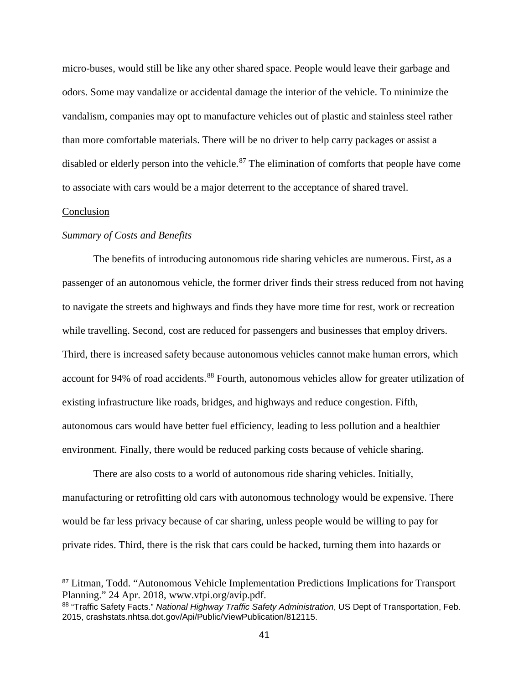micro-buses, would still be like any other shared space. People would leave their garbage and odors. Some may vandalize or accidental damage the interior of the vehicle. To minimize the vandalism, companies may opt to manufacture vehicles out of plastic and stainless steel rather than more comfortable materials. There will be no driver to help carry packages or assist a disabled or elderly person into the vehicle.<sup>[87](#page-47-0)</sup> The elimination of comforts that people have come to associate with cars would be a major deterrent to the acceptance of shared travel.

#### Conclusion

#### *Summary of Costs and Benefits*

The benefits of introducing autonomous ride sharing vehicles are numerous. First, as a passenger of an autonomous vehicle, the former driver finds their stress reduced from not having to navigate the streets and highways and finds they have more time for rest, work or recreation while travelling. Second, cost are reduced for passengers and businesses that employ drivers. Third, there is increased safety because autonomous vehicles cannot make human errors, which account for 94% of road accidents.<sup>[88](#page-47-1)</sup> Fourth, autonomous vehicles allow for greater utilization of existing infrastructure like roads, bridges, and highways and reduce congestion. Fifth, autonomous cars would have better fuel efficiency, leading to less pollution and a healthier environment. Finally, there would be reduced parking costs because of vehicle sharing.

There are also costs to a world of autonomous ride sharing vehicles. Initially, manufacturing or retrofitting old cars with autonomous technology would be expensive. There would be far less privacy because of car sharing, unless people would be willing to pay for private rides. Third, there is the risk that cars could be hacked, turning them into hazards or

<span id="page-47-0"></span> <sup>87</sup> Litman, Todd. "Autonomous Vehicle Implementation Predictions Implications for Transport Planning." 24 Apr. 2018, www.vtpi.org/avip.pdf.

<span id="page-47-1"></span><sup>88</sup> "Traffic Safety Facts." *National Highway Traffic Safety Administration*, US Dept of Transportation, Feb. 2015, crashstats.nhtsa.dot.gov/Api/Public/ViewPublication/812115.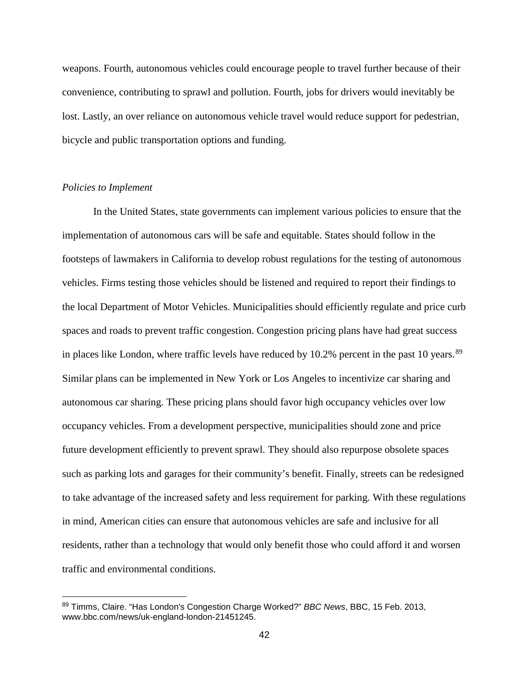weapons. Fourth, autonomous vehicles could encourage people to travel further because of their convenience, contributing to sprawl and pollution. Fourth, jobs for drivers would inevitably be lost. Lastly, an over reliance on autonomous vehicle travel would reduce support for pedestrian, bicycle and public transportation options and funding.

#### *Policies to Implement*

In the United States, state governments can implement various policies to ensure that the implementation of autonomous cars will be safe and equitable. States should follow in the footsteps of lawmakers in California to develop robust regulations for the testing of autonomous vehicles. Firms testing those vehicles should be listened and required to report their findings to the local Department of Motor Vehicles. Municipalities should efficiently regulate and price curb spaces and roads to prevent traffic congestion. Congestion pricing plans have had great success in places like London, where traffic levels have reduced by 10.2% percent in the past 10 years. $89$ Similar plans can be implemented in New York or Los Angeles to incentivize car sharing and autonomous car sharing. These pricing plans should favor high occupancy vehicles over low occupancy vehicles. From a development perspective, municipalities should zone and price future development efficiently to prevent sprawl. They should also repurpose obsolete spaces such as parking lots and garages for their community's benefit. Finally, streets can be redesigned to take advantage of the increased safety and less requirement for parking. With these regulations in mind, American cities can ensure that autonomous vehicles are safe and inclusive for all residents, rather than a technology that would only benefit those who could afford it and worsen traffic and environmental conditions.

<span id="page-48-0"></span> <sup>89</sup> Timms, Claire. "Has London's Congestion Charge Worked?" *BBC News*, BBC, 15 Feb. 2013, www.bbc.com/news/uk-england-london-21451245.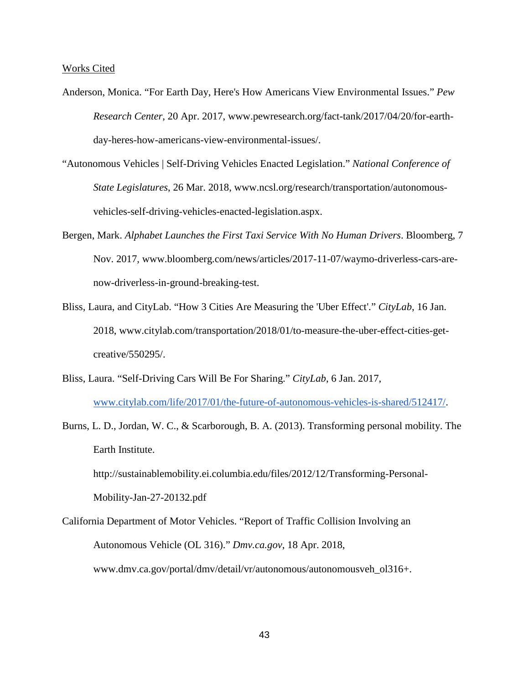Works Cited

- Anderson, Monica. "For Earth Day, Here's How Americans View Environmental Issues." *Pew Research Center*, 20 Apr. 2017, www.pewresearch.org/fact-tank/2017/04/20/for-earthday-heres-how-americans-view-environmental-issues/.
- "Autonomous Vehicles | Self-Driving Vehicles Enacted Legislation." *National Conference of State Legislatures*, 26 Mar. 2018, www.ncsl.org/research/transportation/autonomousvehicles-self-driving-vehicles-enacted-legislation.aspx.
- Bergen, Mark. *Alphabet Launches the First Taxi Service With No Human Drivers*. Bloomberg, 7 Nov. 2017, www.bloomberg.com/news/articles/2017-11-07/waymo-driverless-cars-arenow-driverless-in-ground-breaking-test.
- Bliss, Laura, and CityLab. "How 3 Cities Are Measuring the 'Uber Effect'." *CityLab*, 16 Jan. 2018, www.citylab.com/transportation/2018/01/to-measure-the-uber-effect-cities-getcreative/550295/.
- Bliss, Laura. "Self-Driving Cars Will Be For Sharing." *CityLab*, 6 Jan. 2017, [www.citylab.com/life/2017/01/the-future-of-autonomous-vehicles-is-shared/512417/.](http://www.citylab.com/life/2017/01/the-future-of-autonomous-vehicles-is-shared/512417/)
- Burns, L. D., Jordan, W. C., & Scarborough, B. A. (2013). Transforming personal mobility. The Earth Institute.

http://sustainablemobility.ei.columbia.edu/files/2012/12/Transforming-Personal-

Mobility-Jan-27-20132.pdf

California Department of Motor Vehicles. "Report of Traffic Collision Involving an Autonomous Vehicle (OL 316)." *Dmv.ca.gov*, 18 Apr. 2018, www.dmv.ca.gov/portal/dmv/detail/vr/autonomous/autonomousveh\_ol316+.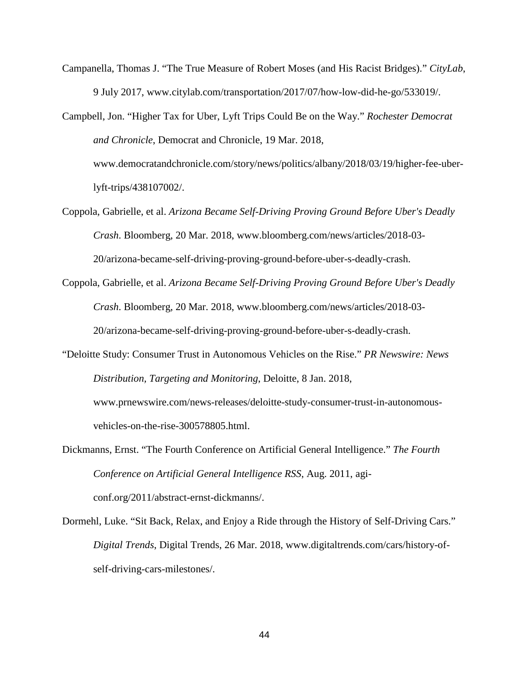- Campanella, Thomas J. "The True Measure of Robert Moses (and His Racist Bridges)." *CityLab*, 9 July 2017, www.citylab.com/transportation/2017/07/how-low-did-he-go/533019/.
- Campbell, Jon. "Higher Tax for Uber, Lyft Trips Could Be on the Way." *Rochester Democrat and Chronicle*, Democrat and Chronicle, 19 Mar. 2018, www.democratandchronicle.com/story/news/politics/albany/2018/03/19/higher-fee-uberlyft-trips/438107002/.
- Coppola, Gabrielle, et al. *Arizona Became Self-Driving Proving Ground Before Uber's Deadly Crash*. Bloomberg, 20 Mar. 2018, www.bloomberg.com/news/articles/2018-03- 20/arizona-became-self-driving-proving-ground-before-uber-s-deadly-crash.
- Coppola, Gabrielle, et al. *Arizona Became Self-Driving Proving Ground Before Uber's Deadly Crash*. Bloomberg, 20 Mar. 2018, www.bloomberg.com/news/articles/2018-03- 20/arizona-became-self-driving-proving-ground-before-uber-s-deadly-crash.
- "Deloitte Study: Consumer Trust in Autonomous Vehicles on the Rise." *PR Newswire: News Distribution, Targeting and Monitoring*, Deloitte, 8 Jan. 2018, www.prnewswire.com/news-releases/deloitte-study-consumer-trust-in-autonomousvehicles-on-the-rise-300578805.html.
- Dickmanns, Ernst. "The Fourth Conference on Artificial General Intelligence." *The Fourth Conference on Artificial General Intelligence RSS*, Aug. 2011, agiconf.org/2011/abstract-ernst-dickmanns/.
- Dormehl, Luke. "Sit Back, Relax, and Enjoy a Ride through the History of Self-Driving Cars." *Digital Trends*, Digital Trends, 26 Mar. 2018, www.digitaltrends.com/cars/history-ofself-driving-cars-milestones/.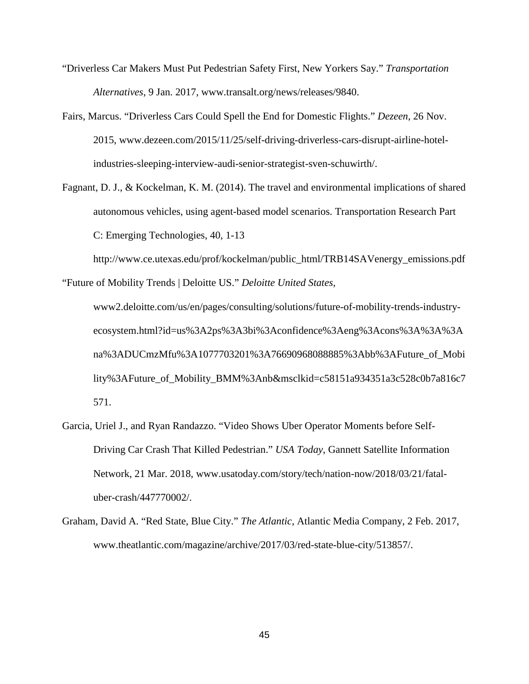- "Driverless Car Makers Must Put Pedestrian Safety First, New Yorkers Say." *Transportation Alternatives*, 9 Jan. 2017, www.transalt.org/news/releases/9840.
- Fairs, Marcus. "Driverless Cars Could Spell the End for Domestic Flights." *Dezeen*, 26 Nov. 2015, www.dezeen.com/2015/11/25/self-driving-driverless-cars-disrupt-airline-hotelindustries-sleeping-interview-audi-senior-strategist-sven-schuwirth/.
- Fagnant, D. J., & Kockelman, K. M. (2014). The travel and environmental implications of shared autonomous vehicles, using agent-based model scenarios. Transportation Research Part C: Emerging Technologies, 40, 1-13

http://www.ce.utexas.edu/prof/kockelman/public\_html/TRB14SAVenergy\_emissions.pdf "Future of Mobility Trends | Deloitte US." *Deloitte United States*,

www2.deloitte.com/us/en/pages/consulting/solutions/future-of-mobility-trends-industryecosystem.html?id=us%3A2ps%3A3bi%3Aconfidence%3Aeng%3Acons%3A%3A%3A na%3ADUCmzMfu%3A1077703201%3A76690968088885%3Abb%3AFuture\_of\_Mobi lity%3AFuture\_of\_Mobility\_BMM%3Anb&msclkid=c58151a934351a3c528c0b7a816c7 571.

- Garcia, Uriel J., and Ryan Randazzo. "Video Shows Uber Operator Moments before Self-Driving Car Crash That Killed Pedestrian." *USA Today*, Gannett Satellite Information Network, 21 Mar. 2018, www.usatoday.com/story/tech/nation-now/2018/03/21/fataluber-crash/447770002/.
- Graham, David A. "Red State, Blue City." *The Atlantic*, Atlantic Media Company, 2 Feb. 2017, www.theatlantic.com/magazine/archive/2017/03/red-state-blue-city/513857/.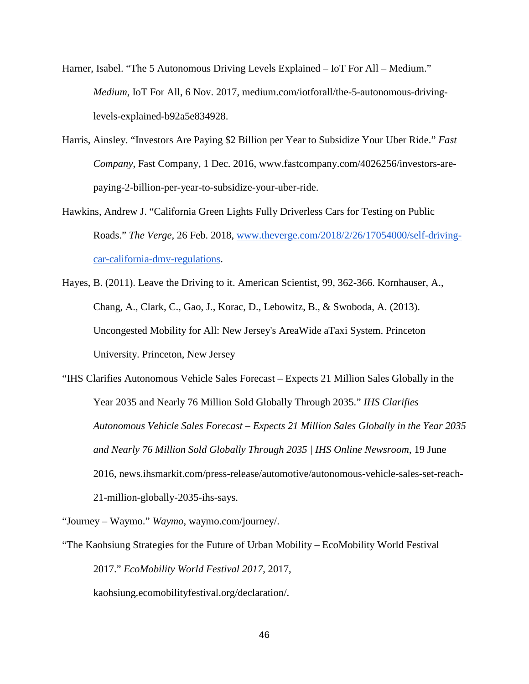Harner, Isabel. "The 5 Autonomous Driving Levels Explained – IoT For All – Medium." *Medium*, IoT For All, 6 Nov. 2017, medium.com/iotforall/the-5-autonomous-drivinglevels-explained-b92a5e834928.

- Harris, Ainsley. "Investors Are Paying \$2 Billion per Year to Subsidize Your Uber Ride." *Fast Company*, Fast Company, 1 Dec. 2016, www.fastcompany.com/4026256/investors-arepaying-2-billion-per-year-to-subsidize-your-uber-ride.
- Hawkins, Andrew J. "California Green Lights Fully Driverless Cars for Testing on Public Roads." *The Verge*, 26 Feb. 2018, www.theverge.com/2018/2/26/17054000/self-drivingcar-california-dmv-regulations.
- Hayes, B. (2011). Leave the Driving to it. American Scientist, 99, 362-366. Kornhauser, A., Chang, A., Clark, C., Gao, J., Korac, D., Lebowitz, B., & Swoboda, A. (2013). Uncongested Mobility for All: New Jersey's AreaWide aTaxi System. Princeton University. Princeton, New Jersey

"IHS Clarifies Autonomous Vehicle Sales Forecast – Expects 21 Million Sales Globally in the Year 2035 and Nearly 76 Million Sold Globally Through 2035." *IHS Clarifies Autonomous Vehicle Sales Forecast – Expects 21 Million Sales Globally in the Year 2035 and Nearly 76 Million Sold Globally Through 2035 | IHS Online Newsroom*, 19 June 2016, news.ihsmarkit.com/press-release/automotive/autonomous-vehicle-sales-set-reach-21-million-globally-2035-ihs-says.

"Journey – Waymo." *Waymo*, waymo.com/journey/.

"The Kaohsiung Strategies for the Future of Urban Mobility – EcoMobility World Festival 2017." *EcoMobility World Festival 2017*, 2017, kaohsiung.ecomobilityfestival.org/declaration/.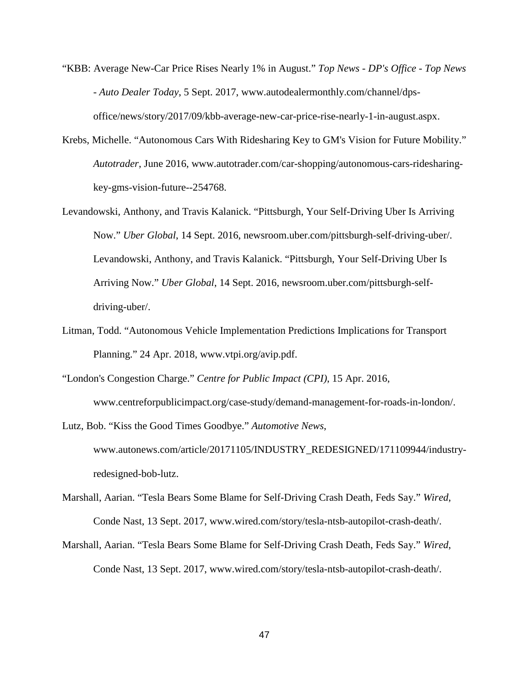- "KBB: Average New-Car Price Rises Nearly 1% in August." *Top News - DP's Office - Top News - Auto Dealer Today*, 5 Sept. 2017, www.autodealermonthly.com/channel/dpsoffice/news/story/2017/09/kbb-average-new-car-price-rise-nearly-1-in-august.aspx.
- Krebs, Michelle. "Autonomous Cars With Ridesharing Key to GM's Vision for Future Mobility." *Autotrader*, June 2016, www.autotrader.com/car-shopping/autonomous-cars-ridesharingkey-gms-vision-future--254768.
- Levandowski, Anthony, and Travis Kalanick. "Pittsburgh, Your Self-Driving Uber Is Arriving Now." *Uber Global*, 14 Sept. 2016, newsroom.uber.com/pittsburgh-self-driving-uber/. Levandowski, Anthony, and Travis Kalanick. "Pittsburgh, Your Self-Driving Uber Is Arriving Now." *Uber Global*, 14 Sept. 2016, newsroom.uber.com/pittsburgh-selfdriving-uber/.
- Litman, Todd. "Autonomous Vehicle Implementation Predictions Implications for Transport Planning." 24 Apr. 2018, www.vtpi.org/avip.pdf.
- "London's Congestion Charge." *Centre for Public Impact (CPI)*, 15 Apr. 2016, www.centreforpublicimpact.org/case-study/demand-management-for-roads-in-london/.
- Lutz, Bob. "Kiss the Good Times Goodbye." *Automotive News*, www.autonews.com/article/20171105/INDUSTRY\_REDESIGNED/171109944/industryredesigned-bob-lutz.
- Marshall, Aarian. "Tesla Bears Some Blame for Self-Driving Crash Death, Feds Say." *Wired*, Conde Nast, 13 Sept. 2017, www.wired.com/story/tesla-ntsb-autopilot-crash-death/.
- Marshall, Aarian. "Tesla Bears Some Blame for Self-Driving Crash Death, Feds Say." *Wired*, Conde Nast, 13 Sept. 2017, www.wired.com/story/tesla-ntsb-autopilot-crash-death/.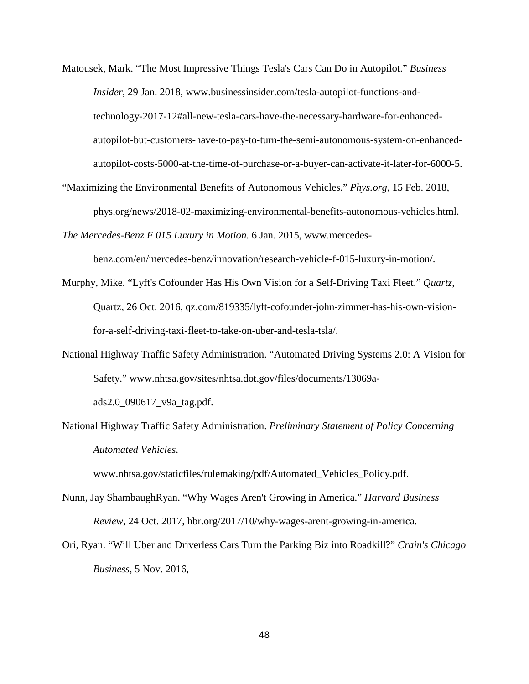- Matousek, Mark. "The Most Impressive Things Tesla's Cars Can Do in Autopilot." *Business Insider*, 29 Jan. 2018, www.businessinsider.com/tesla-autopilot-functions-andtechnology-2017-12#all-new-tesla-cars-have-the-necessary-hardware-for-enhancedautopilot-but-customers-have-to-pay-to-turn-the-semi-autonomous-system-on-enhancedautopilot-costs-5000-at-the-time-of-purchase-or-a-buyer-can-activate-it-later-for-6000-5.
- "Maximizing the Environmental Benefits of Autonomous Vehicles." *Phys.org*, 15 Feb. 2018, phys.org/news/2018-02-maximizing-environmental-benefits-autonomous-vehicles.html.
- *The Mercedes-Benz F 015 Luxury in Motion.* 6 Jan. 2015, www.mercedes-

benz.com/en/mercedes-benz/innovation/research-vehicle-f-015-luxury-in-motion/.

- Murphy, Mike. "Lyft's Cofounder Has His Own Vision for a Self-Driving Taxi Fleet." *Quartz*, Quartz, 26 Oct. 2016, qz.com/819335/lyft-cofounder-john-zimmer-has-his-own-visionfor-a-self-driving-taxi-fleet-to-take-on-uber-and-tesla-tsla/.
- National Highway Traffic Safety Administration. "Automated Driving Systems 2.0: A Vision for Safety." www.nhtsa.gov/sites/nhtsa.dot.gov/files/documents/13069aads2.0\_090617\_v9a\_tag.pdf.
- National Highway Traffic Safety Administration. *Preliminary Statement of Policy Concerning Automated Vehicles*.

www.nhtsa.gov/staticfiles/rulemaking/pdf/Automated\_Vehicles\_Policy.pdf.

- Nunn, Jay ShambaughRyan. "Why Wages Aren't Growing in America." *Harvard Business Review*, 24 Oct. 2017, hbr.org/2017/10/why-wages-arent-growing-in-america.
- Ori, Ryan. "Will Uber and Driverless Cars Turn the Parking Biz into Roadkill?" *Crain's Chicago Business*, 5 Nov. 2016,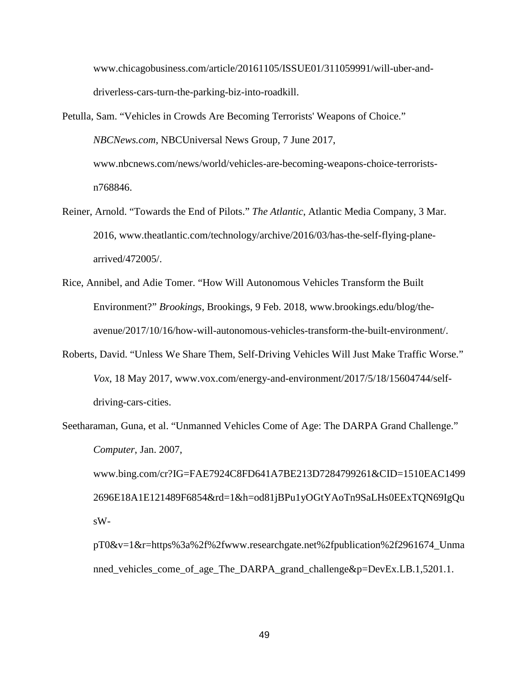www.chicagobusiness.com/article/20161105/ISSUE01/311059991/will-uber-anddriverless-cars-turn-the-parking-biz-into-roadkill.

- Petulla, Sam. "Vehicles in Crowds Are Becoming Terrorists' Weapons of Choice." *NBCNews.com*, NBCUniversal News Group, 7 June 2017, www.nbcnews.com/news/world/vehicles-are-becoming-weapons-choice-terroristsn768846.
- Reiner, Arnold. "Towards the End of Pilots." *The Atlantic*, Atlantic Media Company, 3 Mar. 2016, www.theatlantic.com/technology/archive/2016/03/has-the-self-flying-planearrived/472005/.
- Rice, Annibel, and Adie Tomer. "How Will Autonomous Vehicles Transform the Built Environment?" *Brookings*, Brookings, 9 Feb. 2018, www.brookings.edu/blog/theavenue/2017/10/16/how-will-autonomous-vehicles-transform-the-built-environment/.
- Roberts, David. "Unless We Share Them, Self-Driving Vehicles Will Just Make Traffic Worse." *Vox*, 18 May 2017, www.vox.com/energy-and-environment/2017/5/18/15604744/selfdriving-cars-cities.
- Seetharaman, Guna, et al. "Unmanned Vehicles Come of Age: The DARPA Grand Challenge." *Computer*, Jan. 2007, www.bing.com/cr?IG=FAE7924C8FD641A7BE213D7284799261&CID=1510EAC1499 2696E18A1E121489F6854&rd=1&h=od81jBPu1yOGtYAoTn9SaLHs0EExTQN69IgQu sW-

pT0&v=1&r=https%3a%2f%2fwww.researchgate.net%2fpublication%2f2961674\_Unma nned\_vehicles\_come\_of\_age\_The\_DARPA\_grand\_challenge&p=DevEx.LB.1,5201.1.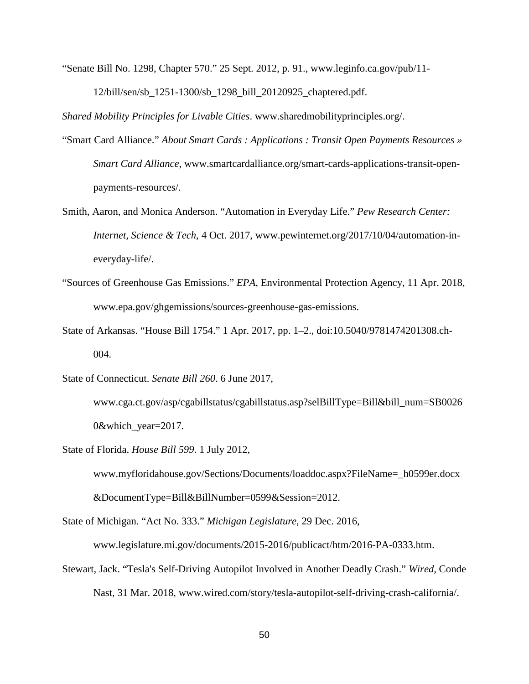"Senate Bill No. 1298, Chapter 570." 25 Sept. 2012, p. 91., www.leginfo.ca.gov/pub/11- 12/bill/sen/sb\_1251-1300/sb\_1298\_bill\_20120925\_chaptered.pdf.

*Shared Mobility Principles for Livable Cities*. www.sharedmobilityprinciples.org/.

- "Smart Card Alliance." *About Smart Cards : Applications : Transit Open Payments Resources » Smart Card Alliance*, www.smartcardalliance.org/smart-cards-applications-transit-openpayments-resources/.
- Smith, Aaron, and Monica Anderson. "Automation in Everyday Life." *Pew Research Center: Internet, Science & Tech*, 4 Oct. 2017, www.pewinternet.org/2017/10/04/automation-ineveryday-life/.
- "Sources of Greenhouse Gas Emissions." *EPA*, Environmental Protection Agency, 11 Apr. 2018, www.epa.gov/ghgemissions/sources-greenhouse-gas-emissions.
- State of Arkansas. "House Bill 1754." 1 Apr. 2017, pp. 1–2., doi:10.5040/9781474201308.ch-004.

State of Connecticut. *Senate Bill 260*. 6 June 2017,

www.cga.ct.gov/asp/cgabillstatus/cgabillstatus.asp?selBillType=Bill&bill\_num=SB0026 0&which\_year=2017.

State of Florida. *House Bill 599*. 1 July 2012,

www.myfloridahouse.gov/Sections/Documents/loaddoc.aspx?FileName=\_h0599er.docx

&DocumentType=Bill&BillNumber=0599&Session=2012.

State of Michigan. "Act No. 333." *Michigan Legislature*, 29 Dec. 2016,

www.legislature.mi.gov/documents/2015-2016/publicact/htm/2016-PA-0333.htm.

Stewart, Jack. "Tesla's Self-Driving Autopilot Involved in Another Deadly Crash." *Wired*, Conde Nast, 31 Mar. 2018, www.wired.com/story/tesla-autopilot-self-driving-crash-california/.